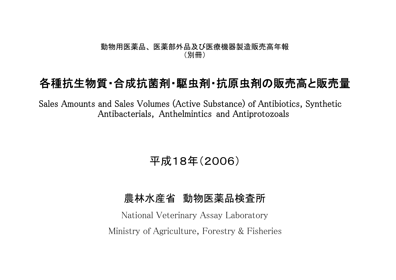## 動物用医薬品、 医薬部外品及び医療機器製造販売高年報 (別冊)

## 各種抗生物質・合成抗菌剤・駆虫剤・抗原虫剤の販売高と販売量

Sales Amounts and Sales Volumes (Active Substance) of Antibiotics, Synthetic Antibacterials, Anthelmintics and Antiprotozoals

平成18年(2006)

## 農林水産省 動物医薬品検査所

National Veterinary Assay Laboratory Ministry of Agriculture, Forestry & Fisheries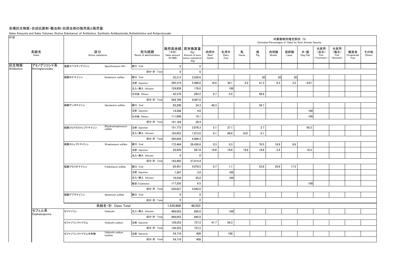## 各種抗生物質・合成抗菌剤・駆虫剤・抗原虫剤の販売高と販売量

Sales Amounts and Sales Volumes (Active Substance) of Antibiotics, Synthetic Antibacterials, Anthelmintics and Antiprotozoals

| 水産用<br>販売高金額<br>原末換算量<br>水産用<br>区分<br>系統名<br>投与経路<br>乳用牛<br>肉用牛<br>馬<br>豚<br>採卵鶏<br>犬・猫<br>(海水)<br>観賞魚<br>その他<br>(千円)<br>肉用鶏<br>(淡水)<br>(Kg)<br>Class<br>Pig<br>Others<br>Active substance<br>Route of administration<br>Sales amount<br>Amount of pure<br>Beef<br>Dairy<br>Horse<br>Broiler<br>$\mathsf{Dog}/\mathsf{Cat}$<br>Fish<br>Fish<br>Ornamental<br>Layer<br>$(*1,000)$<br>active substance<br>Cattle<br>Cow<br>Freshwater<br>(Seawater)<br>Fish<br>(Kg)<br>アミノグリコシド系<br>塩酸スペクチノマイシン<br>経口 Oral<br>$\mathbf 0$<br>$\mathbf 0$<br>Spectinomycin HCI<br>Antibiotics<br>Aminoglycosides<br>成分·計 Total<br>$\mathbf 0$<br>$\mathbf 0$<br>50<br>20<br>30<br>経口 Oral<br>32,213<br>3,528.6<br>硫酸カナマイシン<br>Kanamycin sulfate<br>5,468.0<br>18.8<br>30.1<br>0.2<br>6.3<br>3.2<br>0.01<br>注射 Injection<br>385,319<br>41.3<br>100<br>注入·挿入 Infusion<br>124,859<br>178.0<br>0.7<br>0.5<br>42.378<br>293.2<br>98.8<br>その他 Others<br>成分·計 Total<br>584,769<br>9,467.8<br>59.7<br>経口 Oral<br>40.3<br>硫酸ゲンタマイシン<br>65,200<br>24.3<br>Gentamicin sulfate<br>14.288<br>4.0<br>100<br>注射 Injection<br>100<br>10.1<br>その他 Others<br>111,696<br>成分·計 Total<br>38.4<br>191,184<br>Dihydrostreptomycin<br>2.7<br>65.2<br>硫酸ジヒドロストレプトマイシン<br>注射 Injection<br>3,976.3<br>5.1<br>27.1<br>151,773<br>sulfate<br>0.1<br>0.01<br>0.1<br>193,853<br>1,013.0<br>99.8<br>注入·挿入 Infusion<br>成分·計 Total<br>4.989.3<br>345,626<br>0.3<br>経口 Oral<br>0.3<br>70.5<br>18.9<br>9.9<br>硫酸ストレプトマイシン<br>172,464<br>26,426.6<br>Streptomycin sulfate<br>587.8<br>2.4<br>20,939<br>19.6<br>19.6<br>19.6<br>19.6<br>19.3<br>注射 Injection<br>注入·挿入 Infusion<br>$\mathbf 0$<br>0<br>成分·計 Total<br>193,403<br>27,014.4<br>0.7<br>経口 Oral<br>4,978.5<br>53.8<br>26.9<br>17.5<br>硫酸フラジオマイシン<br>85,451<br>1.1<br>Fradiomycin sulfate<br>100<br>1,387<br>3.0<br>注射 Injection<br>100<br>注入·挿入 Infusion<br>55.0<br>16,534<br>6.5<br>100<br>経皮 Cutaneous<br>117,255<br>成分·計 Total<br>220,627<br>5,043.0<br>経口 Oral<br>硫酸アプラマイシン<br>Apramycin sulfate<br>0<br>0<br>成分·計 Total<br>$\Omega$<br>$\mathbf{0}$<br>系統名·計 Class Total<br>1,535,609<br>46,553<br>セフェム系<br>100<br>セファゾリン<br>注入·挿入 Infusion<br>Cefazolin<br>469,053<br>695.0<br>Cephalosporins<br>成分·計 Total<br>469,053<br>695.0<br>737.2<br>41.7<br>58.3<br>128,253<br>セファゾリンナトリウム<br>Cefazolin sodium<br>注射 Injection<br>成分·計 Total<br>737.2<br>128,253<br>Cefazolin sodium<br>409<br>100<br>セファゾリンナトリウム水和物<br>注射 Injection<br>54,716<br>hydrate<br>409<br>成分·計 Total<br>54,716 | H <sub>18</sub> |  |  |  |  |  | 対象動物別推定割合 (%) | Estimated Percentages of Sales for Each Animals Species |  |  |
|-----------------------------------------------------------------------------------------------------------------------------------------------------------------------------------------------------------------------------------------------------------------------------------------------------------------------------------------------------------------------------------------------------------------------------------------------------------------------------------------------------------------------------------------------------------------------------------------------------------------------------------------------------------------------------------------------------------------------------------------------------------------------------------------------------------------------------------------------------------------------------------------------------------------------------------------------------------------------------------------------------------------------------------------------------------------------------------------------------------------------------------------------------------------------------------------------------------------------------------------------------------------------------------------------------------------------------------------------------------------------------------------------------------------------------------------------------------------------------------------------------------------------------------------------------------------------------------------------------------------------------------------------------------------------------------------------------------------------------------------------------------------------------------------------------------------------------------------------------------------------------------------------------------------------------------------------------------------------------------------------------------------------------------------------------------------------------------------------------------------------------------------------------------------------------------------------------------------------------------------------------------------------------------------------------------------------------------------------------------------------------------------------------------------------------------------------------------------------------------------|-----------------|--|--|--|--|--|---------------|---------------------------------------------------------|--|--|
|                                                                                                                                                                                                                                                                                                                                                                                                                                                                                                                                                                                                                                                                                                                                                                                                                                                                                                                                                                                                                                                                                                                                                                                                                                                                                                                                                                                                                                                                                                                                                                                                                                                                                                                                                                                                                                                                                                                                                                                                                                                                                                                                                                                                                                                                                                                                                                                                                                                                                         |                 |  |  |  |  |  |               |                                                         |  |  |
|                                                                                                                                                                                                                                                                                                                                                                                                                                                                                                                                                                                                                                                                                                                                                                                                                                                                                                                                                                                                                                                                                                                                                                                                                                                                                                                                                                                                                                                                                                                                                                                                                                                                                                                                                                                                                                                                                                                                                                                                                                                                                                                                                                                                                                                                                                                                                                                                                                                                                         | 抗生物質            |  |  |  |  |  |               |                                                         |  |  |
|                                                                                                                                                                                                                                                                                                                                                                                                                                                                                                                                                                                                                                                                                                                                                                                                                                                                                                                                                                                                                                                                                                                                                                                                                                                                                                                                                                                                                                                                                                                                                                                                                                                                                                                                                                                                                                                                                                                                                                                                                                                                                                                                                                                                                                                                                                                                                                                                                                                                                         |                 |  |  |  |  |  |               |                                                         |  |  |
|                                                                                                                                                                                                                                                                                                                                                                                                                                                                                                                                                                                                                                                                                                                                                                                                                                                                                                                                                                                                                                                                                                                                                                                                                                                                                                                                                                                                                                                                                                                                                                                                                                                                                                                                                                                                                                                                                                                                                                                                                                                                                                                                                                                                                                                                                                                                                                                                                                                                                         |                 |  |  |  |  |  |               |                                                         |  |  |
|                                                                                                                                                                                                                                                                                                                                                                                                                                                                                                                                                                                                                                                                                                                                                                                                                                                                                                                                                                                                                                                                                                                                                                                                                                                                                                                                                                                                                                                                                                                                                                                                                                                                                                                                                                                                                                                                                                                                                                                                                                                                                                                                                                                                                                                                                                                                                                                                                                                                                         |                 |  |  |  |  |  |               |                                                         |  |  |
|                                                                                                                                                                                                                                                                                                                                                                                                                                                                                                                                                                                                                                                                                                                                                                                                                                                                                                                                                                                                                                                                                                                                                                                                                                                                                                                                                                                                                                                                                                                                                                                                                                                                                                                                                                                                                                                                                                                                                                                                                                                                                                                                                                                                                                                                                                                                                                                                                                                                                         |                 |  |  |  |  |  |               |                                                         |  |  |
|                                                                                                                                                                                                                                                                                                                                                                                                                                                                                                                                                                                                                                                                                                                                                                                                                                                                                                                                                                                                                                                                                                                                                                                                                                                                                                                                                                                                                                                                                                                                                                                                                                                                                                                                                                                                                                                                                                                                                                                                                                                                                                                                                                                                                                                                                                                                                                                                                                                                                         |                 |  |  |  |  |  |               |                                                         |  |  |
|                                                                                                                                                                                                                                                                                                                                                                                                                                                                                                                                                                                                                                                                                                                                                                                                                                                                                                                                                                                                                                                                                                                                                                                                                                                                                                                                                                                                                                                                                                                                                                                                                                                                                                                                                                                                                                                                                                                                                                                                                                                                                                                                                                                                                                                                                                                                                                                                                                                                                         |                 |  |  |  |  |  |               |                                                         |  |  |
|                                                                                                                                                                                                                                                                                                                                                                                                                                                                                                                                                                                                                                                                                                                                                                                                                                                                                                                                                                                                                                                                                                                                                                                                                                                                                                                                                                                                                                                                                                                                                                                                                                                                                                                                                                                                                                                                                                                                                                                                                                                                                                                                                                                                                                                                                                                                                                                                                                                                                         |                 |  |  |  |  |  |               |                                                         |  |  |
|                                                                                                                                                                                                                                                                                                                                                                                                                                                                                                                                                                                                                                                                                                                                                                                                                                                                                                                                                                                                                                                                                                                                                                                                                                                                                                                                                                                                                                                                                                                                                                                                                                                                                                                                                                                                                                                                                                                                                                                                                                                                                                                                                                                                                                                                                                                                                                                                                                                                                         |                 |  |  |  |  |  |               |                                                         |  |  |
|                                                                                                                                                                                                                                                                                                                                                                                                                                                                                                                                                                                                                                                                                                                                                                                                                                                                                                                                                                                                                                                                                                                                                                                                                                                                                                                                                                                                                                                                                                                                                                                                                                                                                                                                                                                                                                                                                                                                                                                                                                                                                                                                                                                                                                                                                                                                                                                                                                                                                         |                 |  |  |  |  |  |               |                                                         |  |  |
|                                                                                                                                                                                                                                                                                                                                                                                                                                                                                                                                                                                                                                                                                                                                                                                                                                                                                                                                                                                                                                                                                                                                                                                                                                                                                                                                                                                                                                                                                                                                                                                                                                                                                                                                                                                                                                                                                                                                                                                                                                                                                                                                                                                                                                                                                                                                                                                                                                                                                         |                 |  |  |  |  |  |               |                                                         |  |  |
|                                                                                                                                                                                                                                                                                                                                                                                                                                                                                                                                                                                                                                                                                                                                                                                                                                                                                                                                                                                                                                                                                                                                                                                                                                                                                                                                                                                                                                                                                                                                                                                                                                                                                                                                                                                                                                                                                                                                                                                                                                                                                                                                                                                                                                                                                                                                                                                                                                                                                         |                 |  |  |  |  |  |               |                                                         |  |  |
|                                                                                                                                                                                                                                                                                                                                                                                                                                                                                                                                                                                                                                                                                                                                                                                                                                                                                                                                                                                                                                                                                                                                                                                                                                                                                                                                                                                                                                                                                                                                                                                                                                                                                                                                                                                                                                                                                                                                                                                                                                                                                                                                                                                                                                                                                                                                                                                                                                                                                         |                 |  |  |  |  |  |               |                                                         |  |  |
|                                                                                                                                                                                                                                                                                                                                                                                                                                                                                                                                                                                                                                                                                                                                                                                                                                                                                                                                                                                                                                                                                                                                                                                                                                                                                                                                                                                                                                                                                                                                                                                                                                                                                                                                                                                                                                                                                                                                                                                                                                                                                                                                                                                                                                                                                                                                                                                                                                                                                         |                 |  |  |  |  |  |               |                                                         |  |  |
|                                                                                                                                                                                                                                                                                                                                                                                                                                                                                                                                                                                                                                                                                                                                                                                                                                                                                                                                                                                                                                                                                                                                                                                                                                                                                                                                                                                                                                                                                                                                                                                                                                                                                                                                                                                                                                                                                                                                                                                                                                                                                                                                                                                                                                                                                                                                                                                                                                                                                         |                 |  |  |  |  |  |               |                                                         |  |  |
|                                                                                                                                                                                                                                                                                                                                                                                                                                                                                                                                                                                                                                                                                                                                                                                                                                                                                                                                                                                                                                                                                                                                                                                                                                                                                                                                                                                                                                                                                                                                                                                                                                                                                                                                                                                                                                                                                                                                                                                                                                                                                                                                                                                                                                                                                                                                                                                                                                                                                         |                 |  |  |  |  |  |               |                                                         |  |  |
|                                                                                                                                                                                                                                                                                                                                                                                                                                                                                                                                                                                                                                                                                                                                                                                                                                                                                                                                                                                                                                                                                                                                                                                                                                                                                                                                                                                                                                                                                                                                                                                                                                                                                                                                                                                                                                                                                                                                                                                                                                                                                                                                                                                                                                                                                                                                                                                                                                                                                         |                 |  |  |  |  |  |               |                                                         |  |  |
|                                                                                                                                                                                                                                                                                                                                                                                                                                                                                                                                                                                                                                                                                                                                                                                                                                                                                                                                                                                                                                                                                                                                                                                                                                                                                                                                                                                                                                                                                                                                                                                                                                                                                                                                                                                                                                                                                                                                                                                                                                                                                                                                                                                                                                                                                                                                                                                                                                                                                         |                 |  |  |  |  |  |               |                                                         |  |  |
|                                                                                                                                                                                                                                                                                                                                                                                                                                                                                                                                                                                                                                                                                                                                                                                                                                                                                                                                                                                                                                                                                                                                                                                                                                                                                                                                                                                                                                                                                                                                                                                                                                                                                                                                                                                                                                                                                                                                                                                                                                                                                                                                                                                                                                                                                                                                                                                                                                                                                         |                 |  |  |  |  |  |               |                                                         |  |  |
|                                                                                                                                                                                                                                                                                                                                                                                                                                                                                                                                                                                                                                                                                                                                                                                                                                                                                                                                                                                                                                                                                                                                                                                                                                                                                                                                                                                                                                                                                                                                                                                                                                                                                                                                                                                                                                                                                                                                                                                                                                                                                                                                                                                                                                                                                                                                                                                                                                                                                         |                 |  |  |  |  |  |               |                                                         |  |  |
|                                                                                                                                                                                                                                                                                                                                                                                                                                                                                                                                                                                                                                                                                                                                                                                                                                                                                                                                                                                                                                                                                                                                                                                                                                                                                                                                                                                                                                                                                                                                                                                                                                                                                                                                                                                                                                                                                                                                                                                                                                                                                                                                                                                                                                                                                                                                                                                                                                                                                         |                 |  |  |  |  |  |               |                                                         |  |  |
|                                                                                                                                                                                                                                                                                                                                                                                                                                                                                                                                                                                                                                                                                                                                                                                                                                                                                                                                                                                                                                                                                                                                                                                                                                                                                                                                                                                                                                                                                                                                                                                                                                                                                                                                                                                                                                                                                                                                                                                                                                                                                                                                                                                                                                                                                                                                                                                                                                                                                         |                 |  |  |  |  |  |               |                                                         |  |  |
|                                                                                                                                                                                                                                                                                                                                                                                                                                                                                                                                                                                                                                                                                                                                                                                                                                                                                                                                                                                                                                                                                                                                                                                                                                                                                                                                                                                                                                                                                                                                                                                                                                                                                                                                                                                                                                                                                                                                                                                                                                                                                                                                                                                                                                                                                                                                                                                                                                                                                         |                 |  |  |  |  |  |               |                                                         |  |  |
|                                                                                                                                                                                                                                                                                                                                                                                                                                                                                                                                                                                                                                                                                                                                                                                                                                                                                                                                                                                                                                                                                                                                                                                                                                                                                                                                                                                                                                                                                                                                                                                                                                                                                                                                                                                                                                                                                                                                                                                                                                                                                                                                                                                                                                                                                                                                                                                                                                                                                         |                 |  |  |  |  |  |               |                                                         |  |  |
|                                                                                                                                                                                                                                                                                                                                                                                                                                                                                                                                                                                                                                                                                                                                                                                                                                                                                                                                                                                                                                                                                                                                                                                                                                                                                                                                                                                                                                                                                                                                                                                                                                                                                                                                                                                                                                                                                                                                                                                                                                                                                                                                                                                                                                                                                                                                                                                                                                                                                         |                 |  |  |  |  |  |               |                                                         |  |  |
|                                                                                                                                                                                                                                                                                                                                                                                                                                                                                                                                                                                                                                                                                                                                                                                                                                                                                                                                                                                                                                                                                                                                                                                                                                                                                                                                                                                                                                                                                                                                                                                                                                                                                                                                                                                                                                                                                                                                                                                                                                                                                                                                                                                                                                                                                                                                                                                                                                                                                         |                 |  |  |  |  |  |               |                                                         |  |  |
|                                                                                                                                                                                                                                                                                                                                                                                                                                                                                                                                                                                                                                                                                                                                                                                                                                                                                                                                                                                                                                                                                                                                                                                                                                                                                                                                                                                                                                                                                                                                                                                                                                                                                                                                                                                                                                                                                                                                                                                                                                                                                                                                                                                                                                                                                                                                                                                                                                                                                         |                 |  |  |  |  |  |               |                                                         |  |  |
|                                                                                                                                                                                                                                                                                                                                                                                                                                                                                                                                                                                                                                                                                                                                                                                                                                                                                                                                                                                                                                                                                                                                                                                                                                                                                                                                                                                                                                                                                                                                                                                                                                                                                                                                                                                                                                                                                                                                                                                                                                                                                                                                                                                                                                                                                                                                                                                                                                                                                         |                 |  |  |  |  |  |               |                                                         |  |  |
|                                                                                                                                                                                                                                                                                                                                                                                                                                                                                                                                                                                                                                                                                                                                                                                                                                                                                                                                                                                                                                                                                                                                                                                                                                                                                                                                                                                                                                                                                                                                                                                                                                                                                                                                                                                                                                                                                                                                                                                                                                                                                                                                                                                                                                                                                                                                                                                                                                                                                         |                 |  |  |  |  |  |               |                                                         |  |  |
|                                                                                                                                                                                                                                                                                                                                                                                                                                                                                                                                                                                                                                                                                                                                                                                                                                                                                                                                                                                                                                                                                                                                                                                                                                                                                                                                                                                                                                                                                                                                                                                                                                                                                                                                                                                                                                                                                                                                                                                                                                                                                                                                                                                                                                                                                                                                                                                                                                                                                         |                 |  |  |  |  |  |               |                                                         |  |  |
|                                                                                                                                                                                                                                                                                                                                                                                                                                                                                                                                                                                                                                                                                                                                                                                                                                                                                                                                                                                                                                                                                                                                                                                                                                                                                                                                                                                                                                                                                                                                                                                                                                                                                                                                                                                                                                                                                                                                                                                                                                                                                                                                                                                                                                                                                                                                                                                                                                                                                         |                 |  |  |  |  |  |               |                                                         |  |  |
|                                                                                                                                                                                                                                                                                                                                                                                                                                                                                                                                                                                                                                                                                                                                                                                                                                                                                                                                                                                                                                                                                                                                                                                                                                                                                                                                                                                                                                                                                                                                                                                                                                                                                                                                                                                                                                                                                                                                                                                                                                                                                                                                                                                                                                                                                                                                                                                                                                                                                         |                 |  |  |  |  |  |               |                                                         |  |  |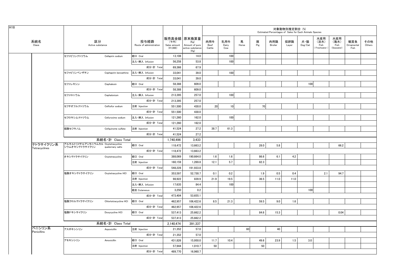|                            |                                                     |                       | 対象動物別推定割合 (%)<br>Estimated Percentages of Sales for Each Animals Species<br>販売高金額 原末換算量 |                                    |                                                    |                       |                     |            |          |                |              |                                    |                                     |                                   |                           |               |  |
|----------------------------|-----------------------------------------------------|-----------------------|-----------------------------------------------------------------------------------------|------------------------------------|----------------------------------------------------|-----------------------|---------------------|------------|----------|----------------|--------------|------------------------------------|-------------------------------------|-----------------------------------|---------------------------|---------------|--|
| 系統名<br>Class               | 区分<br>Active substance                              |                       | 投与経路<br>Route of administration                                                         | (千円)<br>Sales amount<br>$(*1,000)$ | (Kg)<br>Amount of pure<br>active substance<br>(Kg) | 肉用牛<br>Beef<br>Cattle | 乳用牛<br>Dairy<br>Cow | 馬<br>Horse | 豚<br>Pig | 肉用鶏<br>Broiler | 採卵鶏<br>Layer | 犬・猫<br>$\mathsf{Dog}/\mathsf{Cat}$ | 水産用<br>(淡水)<br>Fish<br>(Freshwater) | 水産用<br>(海水)<br>Fish<br>(Seawater) | 観賞魚<br>Ornamental<br>Fish | その他<br>Others |  |
|                            | セファピリンナトリウム                                         | Cefapirin sodium      | 経口 Oral                                                                                 | 13,108                             | 14.0                                               |                       | 100                 |            |          |                |              |                                    |                                     |                                   |                           |               |  |
|                            |                                                     |                       | 注入·挿入 Infusion                                                                          | 56,258                             | 53.8                                               |                       | 100                 |            |          |                |              |                                    |                                     |                                   |                           |               |  |
|                            |                                                     |                       | 成分·計 Total                                                                              | 69,366                             | 67.9                                               |                       |                     |            |          |                |              |                                    |                                     |                                   |                           |               |  |
|                            | セファピリンベンザチン                                         | Cephapirin benzathine | 注入·挿入 Infusion                                                                          | 33,041                             | 39.0                                               |                       | 100                 |            |          |                |              |                                    |                                     |                                   |                           |               |  |
|                            |                                                     |                       | 成分·計 Total                                                                              | 33,041                             | 39.0                                               |                       |                     |            |          |                |              |                                    |                                     |                                   |                           |               |  |
|                            | セファレキシン                                             | Cephalexin            | 経口 Oral                                                                                 | 58,388                             | 609.0                                              |                       |                     |            |          |                |              | 100                                |                                     |                                   |                           |               |  |
|                            |                                                     |                       | 成分·計 Total                                                                              | 58,388                             | 609.0                                              |                       |                     |            |          |                |              |                                    |                                     |                                   |                           |               |  |
|                            | セファロニウム                                             | Cephalonium           | 注入·挿入 Infusion                                                                          | 213,395                            | 257.0                                              |                       | 100                 |            |          |                |              |                                    |                                     |                                   |                           |               |  |
|                            |                                                     |                       | 成分·計 Total                                                                              | 213,395                            | 257.0                                              |                       |                     |            |          |                |              |                                    |                                     |                                   |                           |               |  |
|                            | セフチオフルナトリウム                                         | Ceftiofur sodium      | 注射 Injection                                                                            | 551.500                            | 430.0                                              | 20 <sup>1</sup>       | 10 <sup>1</sup>     |            | 70       |                |              |                                    |                                     |                                   |                           |               |  |
|                            |                                                     |                       | 成分·計 Total                                                                              | 551,500                            | 430.0                                              |                       |                     |            |          |                |              |                                    |                                     |                                   |                           |               |  |
|                            | セフロキシムナトリウム                                         | Cefuroxime sodium     | 注入·挿入 Infusion                                                                          | 121,260                            | 162.0                                              |                       | 100                 |            |          |                |              |                                    |                                     |                                   |                           |               |  |
|                            |                                                     |                       | 成分·計 Total                                                                              | 121,260                            | 162.0                                              |                       |                     |            |          |                |              |                                    |                                     |                                   |                           |               |  |
|                            | 硫酸セフキノム                                             | Cefquinome sulfate    | 注射 Injection                                                                            | 41.524                             | 27.2                                               | 38.7                  | 61.3                |            |          |                |              |                                    |                                     |                                   |                           |               |  |
|                            |                                                     |                       | 成分·計 Total                                                                              | 41,524                             | 27.2                                               |                       |                     |            |          |                |              |                                    |                                     |                                   |                           |               |  |
|                            |                                                     | 系統名·計 Class Total     |                                                                                         | 1,740,496                          | 3,433                                              |                       |                     |            |          |                |              |                                    |                                     |                                   |                           |               |  |
| テトラサイクリン系<br>Tetracyclines | アルキルトリメチルアンモニウムカル Oxytetracycline<br>シウムオキシテトラサイクリン | quaternary salts      | 経口 Oral                                                                                 | 118,472                            | 13,663.2                                           |                       |                     |            | 28.0     | 5.8            |              |                                    |                                     | 66.2                              |                           |               |  |
|                            |                                                     |                       | 成分·計 Total                                                                              | 118,472                            | 13,663.2                                           |                       |                     |            |          |                |              |                                    |                                     |                                   |                           |               |  |
|                            | オキシテトラサイクリン                                         | Oxytetracycline       | 経口 Oral                                                                                 | 388,069                            | 190,664.0                                          | 1.6                   | 1.6                 |            | 86.6     | 6.1            | 4.2          |                                    |                                     |                                   |                           |               |  |
|                            |                                                     |                       | 注射 Injection                                                                            | 160,159                            | 1,269.8                                            | 12.1                  | 5.7                 |            | 82.3     |                |              |                                    |                                     |                                   |                           |               |  |
|                            |                                                     |                       | 成分·計 Total                                                                              | 548,228                            | 191,933.8                                          |                       |                     |            |          |                |              |                                    |                                     |                                   |                           |               |  |
|                            | 塩酸オキシテトラサイクリン                                       | Oxytetracycline HCI   | 経口 Oral                                                                                 | 353.597                            | 52,730.7                                           | 0.1                   | 0.2                 |            | 1.9      | 0.5            | 0.4          |                                    | 2.1                                 | 94.7                              |                           |               |  |
|                            |                                                     |                       | 注射 Injection                                                                            | 98,922                             | 839.9                                              | 21.9                  | 19.5                |            | 36.5     | 11.0           | 11.0         |                                    |                                     |                                   |                           |               |  |
|                            |                                                     |                       | 注入·挿入 Infusion                                                                          | 17,635                             | 84.4                                               |                       | 100                 |            |          |                |              |                                    |                                     |                                   |                           |               |  |
|                            |                                                     |                       | 経皮 Cutaneous                                                                            | 3,250                              | 0.2                                                |                       |                     |            |          |                |              | 100                                |                                     |                                   |                           |               |  |
|                            |                                                     |                       | 成分·計 Total                                                                              | 473.404                            | 53,655.1                                           |                       |                     |            |          |                |              |                                    |                                     |                                   |                           |               |  |
|                            | 塩酸クロルテトラサイクリン                                       | Chlortetracycline HCI | 経口 Oral                                                                                 | 462,957                            | 106,422.6                                          | 8.5                   | 21.3                |            | 59.5     | 9.0            | 1.6          |                                    |                                     |                                   |                           |               |  |
|                            |                                                     |                       | 成分·計 Total                                                                              | 462,957                            | 106,422.6                                          |                       |                     |            |          |                |              |                                    |                                     |                                   |                           |               |  |
|                            | 塩酸ドキシサイクリン                                          | Doxycycline HCI       | 経口 Oral                                                                                 | 537,413                            | 25,662.2                                           |                       |                     |            | 84.6     | 15.3           |              |                                    |                                     | 0.04                              |                           |               |  |
|                            |                                                     |                       | 成分·計 Total                                                                              | 537,413                            | 25,662.2                                           |                       |                     |            |          |                |              |                                    |                                     |                                   |                           |               |  |
|                            |                                                     | 系統名·計 Class Total     |                                                                                         | 2,140,474                          | 391,337                                            |                       |                     |            |          |                |              |                                    |                                     |                                   |                           |               |  |
| ペニシリン系<br>Penicillins      | アスポキシシリン                                            | Aspoxicillin          | 注射 Injection                                                                            | 21,352                             | 57.0                                               |                       |                     | 60         |          | 40             |              |                                    |                                     |                                   |                           |               |  |
|                            |                                                     |                       | 成分·計 Total                                                                              | 21,352                             | 57.0                                               |                       |                     |            |          |                |              |                                    |                                     |                                   |                           |               |  |
|                            | アモキシシリン                                             | Amoxicillin           | 経口 Oral                                                                                 | 431,826                            | 15,950.0                                           | 11.7                  | 10.4                |            | 49.6     | 23.9           | 1.5          | 3.0                                |                                     |                                   |                           |               |  |
|                            |                                                     |                       | 注射 Injection                                                                            | 57,944                             | 1,010.7                                            | 50                    |                     |            | 50       |                |              |                                    |                                     |                                   |                           |               |  |
|                            |                                                     |                       | 成分·計 Total                                                                              | 489,770                            | 16,960.7                                           |                       |                     |            |          |                |              |                                    |                                     |                                   |                           |               |  |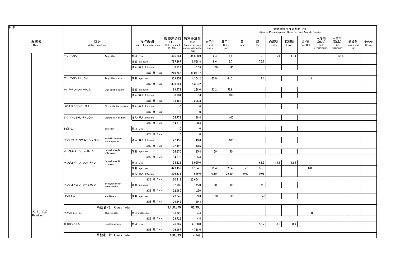| 販売高金額 原末換算量<br>水産用<br>水産用<br>区分<br>系統名<br>投与経路<br>乳用牛<br>肉用牛<br>馬<br>豚<br>採卵鶏<br>犬・猫<br>観賞魚<br>肉用鶏<br>(淡水)<br>(海水)<br>(千円)<br>(Kg)<br>Pig<br>Class<br>Active substance<br>Route of administration<br>Dog/Cat<br>Fish<br>Fish<br>Sales amount<br>Beef<br>Dairy<br>Horse<br>Broiler<br>Ornamental<br>Amount of pure<br>Layer<br>(41,000)<br>Freshwater)<br>(Seawater)<br>Fish<br>active substance<br>Cattle<br>Cow<br>(Kg)<br>アンピシリン<br>経口 Oral<br>2.4<br>1.9<br>68.5<br>426.361<br>34,508.9<br>9.3<br>6.4<br>11.4<br>Ampicillin<br>787,267<br>6,568.8<br>8.6<br>15.7<br>75.7<br>注射 Injection<br>0.08<br>60<br>40<br>注入·挿入 Infusion<br>6,128<br>成分·計 Total<br>1,219,756<br>41,077.7<br>40.0<br>44.3<br>14.4<br>1.3<br>309.351<br>1.304.2<br>アンピシリンナトリウム<br>Ampicillin sodium<br>注射 Injection<br>成分·計 Tota<br>309,351<br>1,304.2<br>43.2<br>注射 Injection<br>288.0<br>56.8<br>クロキサシリンナトリウム<br>Cloxacillin sodium<br>89.679<br>3,784<br>7.3<br>100<br>注入·挿入 Infusion<br>成分·計 Total<br>93,463<br>295.3<br>注入·挿入 Infusion<br>$\mathbf 0$<br>クロキサシリンベンザチン<br>Cloxacillin benzathine<br>$\mathbf 0$<br>成分·計 Total<br>$\mathbf 0$<br>$\mathbf{0}$<br>100<br>54,778<br>98.4<br>注入·挿入 Infusion<br>ジクロキサシリンナトリウム<br>Dicloxacillin sodium<br>54,778<br>98.4<br>成分·計 Total<br>トビシリン<br>Tobicillin<br>経口 Oral<br>$\mathbf 0$<br>$\mathbf 0$<br>$\mathbf 0$<br>$\mathbf 0$<br>成分·計 Total<br>Nafcillin sodium<br>100<br>43.6<br>ナフシリンナトリウムモノハイドレート<br>注入·挿入 Infusion<br>22,492<br>monohydrate<br>成分·計 Total<br>22,492<br>43.6<br>Benzylpenicillin<br>50<br>50<br>ベンジルペニシリンカリウム<br>34,670<br>135.4<br>注射 Injection<br>potassium<br>成分·計 Total<br>135.4<br>34.670<br>Benzylpenicillin<br>経口 Oral<br>194,328<br>5,955.0<br>68.5<br>19.1<br>12.4<br>ベンジルペニシリンプロカイン<br>procaine<br>注射 Injection<br>629,452<br>16,154.1<br>13.4<br>20.4<br>2.6<br>55.6<br>8.0<br>336,633<br>545.0<br>0.10<br>99.80<br>0.02<br>0.08<br>注入·挿入 Infusion<br>成分·計 Total<br>1,160,413<br>22,654.1<br>Benzylpenicillin<br>50<br>30<br>20<br>220<br>32,980<br>ベンジルペニシリンベネタミン<br>注射 Injection<br>benethamine<br>220<br>成分·計 Total<br>32.980<br>30<br>30<br>40<br>メシリナム<br>注射 Injection<br>29,845<br>59.3<br>Mecillinam<br>59.3<br>成分·計 Total<br>29,845<br>系統名・計 Class Total<br>3,468,870<br>82,905<br>ペプチド系<br>経皮 Cutaneous<br>チオストレプトン<br>103,726<br>4.4<br>100<br>Thiostrepton<br>Peptides<br>成分·計 Total<br>103,726<br>4.4<br>経口 Oral<br>硫酸コリスチン<br>76,967<br>4,738.0<br>98.7<br>0.6<br>0.6<br>Colistin sulfate<br>成分·計 Total<br>76,967<br>4,738.0<br>系統名・計 Class Total |  |         |       |  |  |  | Estimated Percentages of Sales for Each Animals Species | 対象動物別推定割合 (%) |  |  |               |
|--------------------------------------------------------------------------------------------------------------------------------------------------------------------------------------------------------------------------------------------------------------------------------------------------------------------------------------------------------------------------------------------------------------------------------------------------------------------------------------------------------------------------------------------------------------------------------------------------------------------------------------------------------------------------------------------------------------------------------------------------------------------------------------------------------------------------------------------------------------------------------------------------------------------------------------------------------------------------------------------------------------------------------------------------------------------------------------------------------------------------------------------------------------------------------------------------------------------------------------------------------------------------------------------------------------------------------------------------------------------------------------------------------------------------------------------------------------------------------------------------------------------------------------------------------------------------------------------------------------------------------------------------------------------------------------------------------------------------------------------------------------------------------------------------------------------------------------------------------------------------------------------------------------------------------------------------------------------------------------------------------------------------------------------------------------------------------------------------------------------------------------------------------------------------------------------------------------------------------------------------------------------------------------------------------------------------------------------------------------------------------------------------------------------------------------------------------------------------------------------------------------------------|--|---------|-------|--|--|--|---------------------------------------------------------|---------------|--|--|---------------|
|                                                                                                                                                                                                                                                                                                                                                                                                                                                                                                                                                                                                                                                                                                                                                                                                                                                                                                                                                                                                                                                                                                                                                                                                                                                                                                                                                                                                                                                                                                                                                                                                                                                                                                                                                                                                                                                                                                                                                                                                                                                                                                                                                                                                                                                                                                                                                                                                                                                                                                                          |  |         |       |  |  |  |                                                         |               |  |  | その他<br>Others |
|                                                                                                                                                                                                                                                                                                                                                                                                                                                                                                                                                                                                                                                                                                                                                                                                                                                                                                                                                                                                                                                                                                                                                                                                                                                                                                                                                                                                                                                                                                                                                                                                                                                                                                                                                                                                                                                                                                                                                                                                                                                                                                                                                                                                                                                                                                                                                                                                                                                                                                                          |  |         |       |  |  |  |                                                         |               |  |  |               |
|                                                                                                                                                                                                                                                                                                                                                                                                                                                                                                                                                                                                                                                                                                                                                                                                                                                                                                                                                                                                                                                                                                                                                                                                                                                                                                                                                                                                                                                                                                                                                                                                                                                                                                                                                                                                                                                                                                                                                                                                                                                                                                                                                                                                                                                                                                                                                                                                                                                                                                                          |  |         |       |  |  |  |                                                         |               |  |  |               |
|                                                                                                                                                                                                                                                                                                                                                                                                                                                                                                                                                                                                                                                                                                                                                                                                                                                                                                                                                                                                                                                                                                                                                                                                                                                                                                                                                                                                                                                                                                                                                                                                                                                                                                                                                                                                                                                                                                                                                                                                                                                                                                                                                                                                                                                                                                                                                                                                                                                                                                                          |  |         |       |  |  |  |                                                         |               |  |  |               |
|                                                                                                                                                                                                                                                                                                                                                                                                                                                                                                                                                                                                                                                                                                                                                                                                                                                                                                                                                                                                                                                                                                                                                                                                                                                                                                                                                                                                                                                                                                                                                                                                                                                                                                                                                                                                                                                                                                                                                                                                                                                                                                                                                                                                                                                                                                                                                                                                                                                                                                                          |  |         |       |  |  |  |                                                         |               |  |  |               |
|                                                                                                                                                                                                                                                                                                                                                                                                                                                                                                                                                                                                                                                                                                                                                                                                                                                                                                                                                                                                                                                                                                                                                                                                                                                                                                                                                                                                                                                                                                                                                                                                                                                                                                                                                                                                                                                                                                                                                                                                                                                                                                                                                                                                                                                                                                                                                                                                                                                                                                                          |  |         |       |  |  |  |                                                         |               |  |  |               |
|                                                                                                                                                                                                                                                                                                                                                                                                                                                                                                                                                                                                                                                                                                                                                                                                                                                                                                                                                                                                                                                                                                                                                                                                                                                                                                                                                                                                                                                                                                                                                                                                                                                                                                                                                                                                                                                                                                                                                                                                                                                                                                                                                                                                                                                                                                                                                                                                                                                                                                                          |  |         |       |  |  |  |                                                         |               |  |  |               |
|                                                                                                                                                                                                                                                                                                                                                                                                                                                                                                                                                                                                                                                                                                                                                                                                                                                                                                                                                                                                                                                                                                                                                                                                                                                                                                                                                                                                                                                                                                                                                                                                                                                                                                                                                                                                                                                                                                                                                                                                                                                                                                                                                                                                                                                                                                                                                                                                                                                                                                                          |  |         |       |  |  |  |                                                         |               |  |  |               |
|                                                                                                                                                                                                                                                                                                                                                                                                                                                                                                                                                                                                                                                                                                                                                                                                                                                                                                                                                                                                                                                                                                                                                                                                                                                                                                                                                                                                                                                                                                                                                                                                                                                                                                                                                                                                                                                                                                                                                                                                                                                                                                                                                                                                                                                                                                                                                                                                                                                                                                                          |  |         |       |  |  |  |                                                         |               |  |  |               |
|                                                                                                                                                                                                                                                                                                                                                                                                                                                                                                                                                                                                                                                                                                                                                                                                                                                                                                                                                                                                                                                                                                                                                                                                                                                                                                                                                                                                                                                                                                                                                                                                                                                                                                                                                                                                                                                                                                                                                                                                                                                                                                                                                                                                                                                                                                                                                                                                                                                                                                                          |  |         |       |  |  |  |                                                         |               |  |  |               |
|                                                                                                                                                                                                                                                                                                                                                                                                                                                                                                                                                                                                                                                                                                                                                                                                                                                                                                                                                                                                                                                                                                                                                                                                                                                                                                                                                                                                                                                                                                                                                                                                                                                                                                                                                                                                                                                                                                                                                                                                                                                                                                                                                                                                                                                                                                                                                                                                                                                                                                                          |  |         |       |  |  |  |                                                         |               |  |  |               |
|                                                                                                                                                                                                                                                                                                                                                                                                                                                                                                                                                                                                                                                                                                                                                                                                                                                                                                                                                                                                                                                                                                                                                                                                                                                                                                                                                                                                                                                                                                                                                                                                                                                                                                                                                                                                                                                                                                                                                                                                                                                                                                                                                                                                                                                                                                                                                                                                                                                                                                                          |  |         |       |  |  |  |                                                         |               |  |  |               |
|                                                                                                                                                                                                                                                                                                                                                                                                                                                                                                                                                                                                                                                                                                                                                                                                                                                                                                                                                                                                                                                                                                                                                                                                                                                                                                                                                                                                                                                                                                                                                                                                                                                                                                                                                                                                                                                                                                                                                                                                                                                                                                                                                                                                                                                                                                                                                                                                                                                                                                                          |  |         |       |  |  |  |                                                         |               |  |  |               |
|                                                                                                                                                                                                                                                                                                                                                                                                                                                                                                                                                                                                                                                                                                                                                                                                                                                                                                                                                                                                                                                                                                                                                                                                                                                                                                                                                                                                                                                                                                                                                                                                                                                                                                                                                                                                                                                                                                                                                                                                                                                                                                                                                                                                                                                                                                                                                                                                                                                                                                                          |  |         |       |  |  |  |                                                         |               |  |  |               |
|                                                                                                                                                                                                                                                                                                                                                                                                                                                                                                                                                                                                                                                                                                                                                                                                                                                                                                                                                                                                                                                                                                                                                                                                                                                                                                                                                                                                                                                                                                                                                                                                                                                                                                                                                                                                                                                                                                                                                                                                                                                                                                                                                                                                                                                                                                                                                                                                                                                                                                                          |  |         |       |  |  |  |                                                         |               |  |  |               |
|                                                                                                                                                                                                                                                                                                                                                                                                                                                                                                                                                                                                                                                                                                                                                                                                                                                                                                                                                                                                                                                                                                                                                                                                                                                                                                                                                                                                                                                                                                                                                                                                                                                                                                                                                                                                                                                                                                                                                                                                                                                                                                                                                                                                                                                                                                                                                                                                                                                                                                                          |  |         |       |  |  |  |                                                         |               |  |  |               |
|                                                                                                                                                                                                                                                                                                                                                                                                                                                                                                                                                                                                                                                                                                                                                                                                                                                                                                                                                                                                                                                                                                                                                                                                                                                                                                                                                                                                                                                                                                                                                                                                                                                                                                                                                                                                                                                                                                                                                                                                                                                                                                                                                                                                                                                                                                                                                                                                                                                                                                                          |  |         |       |  |  |  |                                                         |               |  |  |               |
|                                                                                                                                                                                                                                                                                                                                                                                                                                                                                                                                                                                                                                                                                                                                                                                                                                                                                                                                                                                                                                                                                                                                                                                                                                                                                                                                                                                                                                                                                                                                                                                                                                                                                                                                                                                                                                                                                                                                                                                                                                                                                                                                                                                                                                                                                                                                                                                                                                                                                                                          |  |         |       |  |  |  |                                                         |               |  |  |               |
|                                                                                                                                                                                                                                                                                                                                                                                                                                                                                                                                                                                                                                                                                                                                                                                                                                                                                                                                                                                                                                                                                                                                                                                                                                                                                                                                                                                                                                                                                                                                                                                                                                                                                                                                                                                                                                                                                                                                                                                                                                                                                                                                                                                                                                                                                                                                                                                                                                                                                                                          |  |         |       |  |  |  |                                                         |               |  |  |               |
|                                                                                                                                                                                                                                                                                                                                                                                                                                                                                                                                                                                                                                                                                                                                                                                                                                                                                                                                                                                                                                                                                                                                                                                                                                                                                                                                                                                                                                                                                                                                                                                                                                                                                                                                                                                                                                                                                                                                                                                                                                                                                                                                                                                                                                                                                                                                                                                                                                                                                                                          |  |         |       |  |  |  |                                                         |               |  |  |               |
|                                                                                                                                                                                                                                                                                                                                                                                                                                                                                                                                                                                                                                                                                                                                                                                                                                                                                                                                                                                                                                                                                                                                                                                                                                                                                                                                                                                                                                                                                                                                                                                                                                                                                                                                                                                                                                                                                                                                                                                                                                                                                                                                                                                                                                                                                                                                                                                                                                                                                                                          |  |         |       |  |  |  |                                                         |               |  |  |               |
|                                                                                                                                                                                                                                                                                                                                                                                                                                                                                                                                                                                                                                                                                                                                                                                                                                                                                                                                                                                                                                                                                                                                                                                                                                                                                                                                                                                                                                                                                                                                                                                                                                                                                                                                                                                                                                                                                                                                                                                                                                                                                                                                                                                                                                                                                                                                                                                                                                                                                                                          |  |         |       |  |  |  |                                                         |               |  |  |               |
|                                                                                                                                                                                                                                                                                                                                                                                                                                                                                                                                                                                                                                                                                                                                                                                                                                                                                                                                                                                                                                                                                                                                                                                                                                                                                                                                                                                                                                                                                                                                                                                                                                                                                                                                                                                                                                                                                                                                                                                                                                                                                                                                                                                                                                                                                                                                                                                                                                                                                                                          |  |         |       |  |  |  |                                                         |               |  |  |               |
|                                                                                                                                                                                                                                                                                                                                                                                                                                                                                                                                                                                                                                                                                                                                                                                                                                                                                                                                                                                                                                                                                                                                                                                                                                                                                                                                                                                                                                                                                                                                                                                                                                                                                                                                                                                                                                                                                                                                                                                                                                                                                                                                                                                                                                                                                                                                                                                                                                                                                                                          |  |         |       |  |  |  |                                                         |               |  |  |               |
|                                                                                                                                                                                                                                                                                                                                                                                                                                                                                                                                                                                                                                                                                                                                                                                                                                                                                                                                                                                                                                                                                                                                                                                                                                                                                                                                                                                                                                                                                                                                                                                                                                                                                                                                                                                                                                                                                                                                                                                                                                                                                                                                                                                                                                                                                                                                                                                                                                                                                                                          |  |         |       |  |  |  |                                                         |               |  |  |               |
|                                                                                                                                                                                                                                                                                                                                                                                                                                                                                                                                                                                                                                                                                                                                                                                                                                                                                                                                                                                                                                                                                                                                                                                                                                                                                                                                                                                                                                                                                                                                                                                                                                                                                                                                                                                                                                                                                                                                                                                                                                                                                                                                                                                                                                                                                                                                                                                                                                                                                                                          |  |         |       |  |  |  |                                                         |               |  |  |               |
|                                                                                                                                                                                                                                                                                                                                                                                                                                                                                                                                                                                                                                                                                                                                                                                                                                                                                                                                                                                                                                                                                                                                                                                                                                                                                                                                                                                                                                                                                                                                                                                                                                                                                                                                                                                                                                                                                                                                                                                                                                                                                                                                                                                                                                                                                                                                                                                                                                                                                                                          |  |         |       |  |  |  |                                                         |               |  |  |               |
|                                                                                                                                                                                                                                                                                                                                                                                                                                                                                                                                                                                                                                                                                                                                                                                                                                                                                                                                                                                                                                                                                                                                                                                                                                                                                                                                                                                                                                                                                                                                                                                                                                                                                                                                                                                                                                                                                                                                                                                                                                                                                                                                                                                                                                                                                                                                                                                                                                                                                                                          |  |         |       |  |  |  |                                                         |               |  |  |               |
|                                                                                                                                                                                                                                                                                                                                                                                                                                                                                                                                                                                                                                                                                                                                                                                                                                                                                                                                                                                                                                                                                                                                                                                                                                                                                                                                                                                                                                                                                                                                                                                                                                                                                                                                                                                                                                                                                                                                                                                                                                                                                                                                                                                                                                                                                                                                                                                                                                                                                                                          |  |         |       |  |  |  |                                                         |               |  |  |               |
|                                                                                                                                                                                                                                                                                                                                                                                                                                                                                                                                                                                                                                                                                                                                                                                                                                                                                                                                                                                                                                                                                                                                                                                                                                                                                                                                                                                                                                                                                                                                                                                                                                                                                                                                                                                                                                                                                                                                                                                                                                                                                                                                                                                                                                                                                                                                                                                                                                                                                                                          |  |         |       |  |  |  |                                                         |               |  |  |               |
|                                                                                                                                                                                                                                                                                                                                                                                                                                                                                                                                                                                                                                                                                                                                                                                                                                                                                                                                                                                                                                                                                                                                                                                                                                                                                                                                                                                                                                                                                                                                                                                                                                                                                                                                                                                                                                                                                                                                                                                                                                                                                                                                                                                                                                                                                                                                                                                                                                                                                                                          |  |         |       |  |  |  |                                                         |               |  |  |               |
|                                                                                                                                                                                                                                                                                                                                                                                                                                                                                                                                                                                                                                                                                                                                                                                                                                                                                                                                                                                                                                                                                                                                                                                                                                                                                                                                                                                                                                                                                                                                                                                                                                                                                                                                                                                                                                                                                                                                                                                                                                                                                                                                                                                                                                                                                                                                                                                                                                                                                                                          |  |         |       |  |  |  |                                                         |               |  |  |               |
|                                                                                                                                                                                                                                                                                                                                                                                                                                                                                                                                                                                                                                                                                                                                                                                                                                                                                                                                                                                                                                                                                                                                                                                                                                                                                                                                                                                                                                                                                                                                                                                                                                                                                                                                                                                                                                                                                                                                                                                                                                                                                                                                                                                                                                                                                                                                                                                                                                                                                                                          |  |         |       |  |  |  |                                                         |               |  |  |               |
|                                                                                                                                                                                                                                                                                                                                                                                                                                                                                                                                                                                                                                                                                                                                                                                                                                                                                                                                                                                                                                                                                                                                                                                                                                                                                                                                                                                                                                                                                                                                                                                                                                                                                                                                                                                                                                                                                                                                                                                                                                                                                                                                                                                                                                                                                                                                                                                                                                                                                                                          |  | 180,693 | 4,742 |  |  |  |                                                         |               |  |  |               |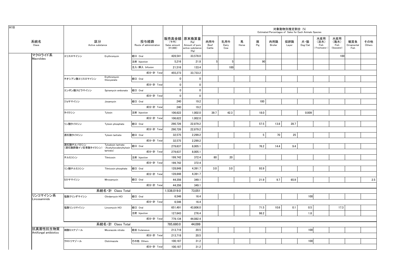|                                    |                                |                                                 |                                 |                                                   |                                                    |                       |                     |            |                 | Estimated Percentages of Sales for Each Animals Species | 対象動物別推定割合 (%) |                |                                   |                                   |                           |               |
|------------------------------------|--------------------------------|-------------------------------------------------|---------------------------------|---------------------------------------------------|----------------------------------------------------|-----------------------|---------------------|------------|-----------------|---------------------------------------------------------|---------------|----------------|-----------------------------------|-----------------------------------|---------------------------|---------------|
| 系統名<br>Class                       | 区分<br>Active substance         |                                                 | 投与経路<br>Route of administration | 販売高金額 原末換算量<br>(千円)<br>Sales amount<br>$(*1,000)$ | (Kg)<br>Amount of pure<br>active substance<br>(Kg) | 肉用牛<br>Beef<br>Cattle | 乳用牛<br>Dairy<br>Cow | 馬<br>Horse | 豚<br>Pig        | 肉用鶏<br>Broiler                                          | 採卵鶏<br>Layer  | 犬・猫<br>Dog/Cat | 水産用<br>(淡水)<br>Fish<br>Freshwater | 水産用<br>(海水)<br>Fish<br>(Seawater) | 観賞魚<br>Ornamental<br>Fish | その他<br>Others |
| マクロライド系<br><b>Macrolides</b>       | エリスロマイシン                       | Erythromycin                                    | 経口 Oral                         | 428,541                                           | 33,578.0                                           |                       |                     |            |                 |                                                         |               |                |                                   | 100                               |                           |               |
|                                    |                                |                                                 | 注射 Injection                    | 5,216                                             | 21.8                                               | 5                     | 5                   |            | 90              |                                                         |               |                |                                   |                                   |                           |               |
|                                    |                                |                                                 | 注入·挿入 Infusion                  | 21,516                                            | 133.4                                              |                       | 100                 |            |                 |                                                         |               |                |                                   |                                   |                           |               |
|                                    |                                |                                                 | 成分·計 Total                      | 455,273                                           | 33,733.2                                           |                       |                     |            |                 |                                                         |               |                |                                   |                                   |                           |               |
|                                    | チオシアン酸エリスロマイシン                 | Erythromycin<br>thiocyanate                     | 経口 Oral                         | 0                                                 | 0                                                  |                       |                     |            |                 |                                                         |               |                |                                   |                                   |                           |               |
|                                    |                                |                                                 | 成分·計 Total                      | $\mathbf 0$                                       | $\mathbf 0$                                        |                       |                     |            |                 |                                                         |               |                |                                   |                                   |                           |               |
|                                    | エンボン酸スピラマイシン                   | Spiramycin embonate                             | 経口 Oral                         | $\mathbf{0}$                                      | $\mathbf{0}$                                       |                       |                     |            |                 |                                                         |               |                |                                   |                                   |                           |               |
|                                    |                                |                                                 | 成分·計 Total                      | $\mathbf 0$                                       | $\mathbf 0$                                        |                       |                     |            |                 |                                                         |               |                |                                   |                                   |                           |               |
|                                    | ジョサマイシン                        | Josamycin                                       | 経口 Oral                         | 240                                               | 19.2                                               |                       |                     |            | 100             |                                                         |               |                |                                   |                                   |                           |               |
|                                    |                                |                                                 | 成分·計 Total                      | 240                                               | 19.2                                               |                       |                     |            |                 |                                                         |               |                |                                   |                                   |                           |               |
|                                    | タイロシン                          | Tylosin                                         | 注射 Injection                    | 106,622                                           | 1,002.0                                            | 39.7                  | 42.3                |            | 18.0            |                                                         |               | 0.009          |                                   |                                   |                           |               |
|                                    |                                |                                                 | 成分·計 Total                      | 106,622                                           | 1,002.0                                            |                       |                     |            |                 |                                                         |               |                |                                   |                                   |                           |               |
|                                    | リン酸タイロシン                       | Tylosin phosphate                               | 経口 Oral                         | 290,726                                           | 22,879.2                                           |                       |                     |            | 57.5            | 13.8                                                    | 28.7          |                |                                   |                                   |                           |               |
|                                    |                                |                                                 | 成分·計 Total                      | 290,726                                           | 22,879.2                                           |                       |                     |            |                 |                                                         |               |                |                                   |                                   |                           |               |
|                                    | 酒石酸タイロシン                       | Tylosin tartrate                                | 経口 Oral                         | 32,575                                            | 2,299.2                                            |                       |                     |            | $5\phantom{.0}$ | 70                                                      | 25            |                |                                   |                                   |                           |               |
|                                    |                                |                                                 | 成分·計 Total                      | 32,575                                            | 2,299.2                                            |                       |                     |            |                 |                                                         |               |                |                                   |                                   |                           |               |
|                                    | 酒石酸チルバロシン<br>(酒石酸酢酸イソ吉草酸タイロシン) | Tylvalosin tartrate<br>(Acetylisovaleryltylosin | 経口 Oral                         | 279.637                                           | 8.005.1                                            |                       |                     |            | 76.2            | 14.4                                                    | 9.4           |                |                                   |                                   |                           |               |
|                                    |                                | tartrate)                                       | 成分·計 Total                      | 279,637                                           | 8,005.1                                            |                       |                     |            |                 |                                                         |               |                |                                   |                                   |                           |               |
|                                    | チルミコシン                         | Tilmicosin                                      | 注射 Injection                    | 199,742                                           | 372.4                                              | 80                    | 20                  |            |                 |                                                         |               |                |                                   |                                   |                           |               |
|                                    |                                |                                                 | 成分·計 Total                      | 199,742                                           | 372.4                                              |                       |                     |            |                 |                                                         |               |                |                                   |                                   |                           |               |
|                                    | リン酸チルミコシン                      | Tilmicosin phosphate                            | 経口 Oral                         | 128,848                                           | 4,391.7                                            | 3.0                   | 3.0                 |            | 93.9            |                                                         |               |                |                                   |                                   |                           |               |
|                                    |                                |                                                 | 成分·計 Total                      | 128,848                                           | 4,391.7                                            |                       |                     |            |                 |                                                         |               |                |                                   |                                   |                           |               |
|                                    | ミロサマイシン                        | Mirosamycin                                     | 経口 Oral                         | 44,356                                            | 349.1                                              |                       |                     |            | 21.9            | 9.7                                                     | 65.9          |                |                                   |                                   |                           | 2.5           |
|                                    |                                |                                                 | 成分·計 Total                      | 44,356                                            | 349.1                                              |                       |                     |            |                 |                                                         |               |                |                                   |                                   |                           |               |
|                                    |                                | 系統名·計 Class Total                               |                                 | 1,538,019.0                                       | 73,051                                             |                       |                     |            |                 |                                                         |               |                |                                   |                                   |                           |               |
| リンコマイシン系<br>Lincosaminids          | 塩酸クリンダマイシン                     | Clindarnycin HCI                                | 経口 Oral                         | 6,546                                             | 16.4                                               |                       |                     |            |                 |                                                         |               | 100            |                                   |                                   |                           |               |
|                                    |                                |                                                 | 成分·計 Total                      | 6,546                                             | 16.4                                               |                       |                     |            |                 |                                                         |               |                |                                   |                                   |                           |               |
|                                    | 塩酸リンコマイシン                      | Lincomycin HCI                                  | 経口 Oral                         | 651,491                                           | 43,806.0                                           |                       |                     |            | 71.5            | 10.6                                                    | 0.1           | 0.5            |                                   | 17.3                              |                           |               |
|                                    |                                |                                                 | 注射 Injection                    | 127,643                                           | 276.4                                              |                       |                     |            | 98.2            |                                                         |               | 1.8            |                                   |                                   |                           |               |
|                                    |                                |                                                 | 成分·計 Total                      | 779,134                                           | 44,082.4                                           |                       |                     |            |                 |                                                         |               |                |                                   |                                   |                           |               |
|                                    |                                | 系統名·計 Class Total                               |                                 | 785,680.0                                         | 44,099                                             |                       |                     |            |                 |                                                         |               |                |                                   |                                   |                           |               |
| 抗真菌性抗生物質<br>Antifungal antibiotics | 硝酸ミコナゾール                       | Miconazole nitrate                              | 経皮 Cutaneous                    | 213,718                                           | 20.5                                               |                       |                     |            |                 |                                                         |               | 100            |                                   |                                   |                           |               |
|                                    |                                |                                                 | 成分·計 Total                      | 213,718                                           | 20.5                                               |                       |                     |            |                 |                                                         |               |                |                                   |                                   |                           |               |
|                                    | クロトリマゾール                       | Clotrimazole                                    | その他 Others                      | 100,187                                           | 31.2                                               |                       |                     |            |                 |                                                         |               | 100            |                                   |                                   |                           |               |
|                                    |                                |                                                 | 成分·計 Total                      | 100,187                                           | 31.2                                               |                       |                     |            |                 |                                                         |               |                |                                   |                                   |                           |               |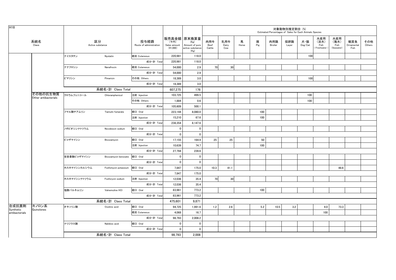| H18                |                                  |              |                        |                                 |                                  |                                                                   |                       |                     |            |          |                | 対象動物別推定割合(%) | Estimated Percentages of Sales for Each Animals Species |                                    |                                                         |                           |               |
|--------------------|----------------------------------|--------------|------------------------|---------------------------------|----------------------------------|-------------------------------------------------------------------|-----------------------|---------------------|------------|----------|----------------|--------------|---------------------------------------------------------|------------------------------------|---------------------------------------------------------|---------------------------|---------------|
|                    | 系統名<br>Class                     |              | 区分<br>Active substance | 投与経路<br>Route of administration | (千円)<br>Sales amount<br>(41,000) | 販売高金額 原末換算量<br>(Kg)<br>Amount of pure<br>active substance<br>(Kg) | 肉用牛<br>Beef<br>Cattle | 乳用牛<br>Dairy<br>Cow | 馬<br>Horse | 豚<br>Pig | 肉用鶏<br>Broiler | 採卵鶏<br>Layer | 犬・猫<br>Dog/Cat                                          | 水産用<br>(淡水)<br>Fish<br>Freshwater) | 水産用<br>(海水)<br>Fish<br>$\left( \text{Seawater} \right)$ | 観賞魚<br>Ornamental<br>Fish | その他<br>Others |
|                    |                                  | ナイスタチン       | Nystatin               | 経皮 Cutaneous                    | 220,981                          | 118.0                                                             |                       |                     |            |          |                |              | 100                                                     |                                    |                                                         |                           |               |
|                    |                                  |              |                        | 成分·計 Total                      | 220,981                          | 118.0                                                             |                       |                     |            |          |                |              |                                                         |                                    |                                                         |                           |               |
|                    |                                  | ナナフロシン       | Nanafrocin             | 経皮 Cutaneous                    | 54,000                           | 2.9                                                               | 70                    | 30                  |            |          |                |              |                                                         |                                    |                                                         |                           |               |
|                    |                                  |              |                        | 成分·計 Total                      | 54,000                           | 2.9                                                               |                       |                     |            |          |                |              |                                                         |                                    |                                                         |                           |               |
|                    |                                  | ピマリシン        | Pimaricin              | その他 Others                      | 18,389                           | 3.0                                                               |                       |                     |            |          |                |              | 100                                                     |                                    |                                                         |                           |               |
|                    |                                  |              |                        | 成分·計 Total                      | 18,389                           | 3.0                                                               |                       |                     |            |          |                |              |                                                         |                                    |                                                         |                           |               |
|                    |                                  |              | 系統名·計 Class Total      |                                 | 607,275                          | 176                                                               |                       |                     |            |          |                |              |                                                         |                                    |                                                         |                           |               |
|                    | その他の抗生物質<br>Other antibacterials | クロラムフェニコール   | Chloramphenicol        | 注射 Injection                    | 103,725                          | 499.5                                                             |                       |                     |            |          |                |              | 100                                                     |                                    |                                                         |                           |               |
|                    |                                  |              |                        | その他 Others                      | 1,884                            | 0.6                                                               |                       |                     |            |          |                |              | 100                                                     |                                    |                                                         |                           |               |
|                    |                                  |              |                        | 成分·計 Total                      | 105,609                          | 500.1                                                             |                       |                     |            |          |                |              |                                                         |                                    |                                                         |                           |               |
|                    |                                  | フマル酸チアムリン    | Tiamulin fumarate      | 経口 Oral                         | 223,144                          | 8,080.0                                                           |                       |                     |            | 100      |                |              |                                                         |                                    |                                                         |                           |               |
|                    |                                  |              |                        | 注射 Injection                    | 15,210                           | 67.6                                                              |                       |                     |            | 100      |                |              |                                                         |                                    |                                                         |                           |               |
|                    |                                  |              |                        | 成分·計 Total                      | 238,354                          | 8,147.6                                                           |                       |                     |            |          |                |              |                                                         |                                    |                                                         |                           |               |
|                    |                                  | ノボビオシンナトリウム  | Novobiocin sodium      | 経口 Oral                         | $\mathbf 0$                      | $\mathbf 0$                                                       |                       |                     |            |          |                |              |                                                         |                                    |                                                         |                           |               |
|                    |                                  |              |                        | 成分·計 Total                      | $\mathbf 0$                      | $\mathbf 0$                                                       |                       |                     |            |          |                |              |                                                         |                                    |                                                         |                           |               |
|                    |                                  | ビコザマイシン      | Bicozamycin            | 経口 Oral                         | 17,155                           | 164.9                                                             | 25                    | 25                  |            | 50       |                |              |                                                         |                                    |                                                         |                           |               |
|                    |                                  |              |                        | 注射 Injection                    | 10,639                           | 74.7                                                              |                       |                     |            | 100      |                |              |                                                         |                                    |                                                         |                           |               |
|                    |                                  |              |                        | 成分·計 Total                      | 27,794                           | 239.6                                                             |                       |                     |            |          |                |              |                                                         |                                    |                                                         |                           |               |
|                    |                                  | 安息香酸ビコザマイシン  | Bicozamycin benzoate   | 経口 Oral                         | $\mathbf 0$                      | 0                                                                 |                       |                     |            |          |                |              |                                                         |                                    |                                                         |                           |               |
|                    |                                  |              |                        | 成分·計 Total                      | $\mathbf 0$                      | $\mathbf 0$                                                       |                       |                     |            |          |                |              |                                                         |                                    |                                                         |                           |               |
|                    |                                  | ホスホマイシンカルシウム | Fosfomycin potassium   | 経口 Oral                         | 7,847                            | 175.0                                                             | 10.3                  | 41.1                |            |          |                |              |                                                         |                                    | 48.6                                                    |                           |               |
|                    |                                  |              |                        | 成分·計 Total                      | 7,847                            | 175.0                                                             |                       |                     |            |          |                |              |                                                         |                                    |                                                         |                           |               |
|                    |                                  | ホスホマイシンナトリウム | Fosforycin sodium      | 注射 Injection                    | 12,036                           | 35.4                                                              | 70                    | 30                  |            |          |                |              |                                                         |                                    |                                                         |                           |               |
|                    |                                  |              |                        | 成分·計 Total                      | 12,036                           | 35.4                                                              |                       |                     |            |          |                |              |                                                         |                                    |                                                         |                           |               |
|                    |                                  | 塩酸バルネムリン     | Valnemuline HCI        | 経口 Oral                         | 83,961                           | 773.2                                                             |                       |                     |            | 100      |                |              |                                                         |                                    |                                                         |                           |               |
|                    |                                  |              |                        | 成分·計 Total                      | 83,961                           | 773.2                                                             |                       |                     |            |          |                |              |                                                         |                                    |                                                         |                           |               |
|                    |                                  |              | 系統名·計 Class Total      |                                 | 475,601                          | 9,871                                                             |                       |                     |            |          |                |              |                                                         |                                    |                                                         |                           |               |
| 合成抗菌剤<br>Synthetic | キノロン系<br>Quinolones              | オキソリン酸       | Oxolinic acid          | 経口 Oral                         | 94,725                           | 1,991.6                                                           | 1.2                   | 2.6                 |            | 5.2      | 10.5           | 3.2          |                                                         | 4.0                                | 73.3                                                    |                           |               |
| antibacterials     |                                  |              |                        | 経皮 Cutaneous                    | 4,068                            | 16.7                                                              |                       |                     |            |          |                |              |                                                         | 100                                |                                                         |                           |               |
|                    |                                  |              |                        | 成分·計 Total                      | 98,793                           | 2,008.2                                                           |                       |                     |            |          |                |              |                                                         |                                    |                                                         |                           |               |
|                    |                                  | ナリジクス酸       | Nalidixic acid         | 経口 Oral                         | 0                                | 0                                                                 |                       |                     |            |          |                |              |                                                         |                                    |                                                         |                           |               |
|                    |                                  |              |                        | 成分·計 Total                      | $\mathbf 0$                      | $\mathbf 0$                                                       |                       |                     |            |          |                |              |                                                         |                                    |                                                         |                           |               |
|                    |                                  |              | 系統名·計 Class Total      |                                 | 98.793                           | 2.008                                                             |                       |                     |            |          |                |              |                                                         |                                    |                                                         |                           |               |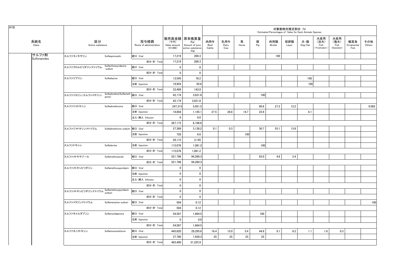| H18                   |                               | 区分<br>Active substance                     |                                 |                                  |                                                                   |                       |                     |            |          | Estimated Percentages of Sales for Each Animals Species | 対象動物別推定割合 (%) |                |                                      |                                   |                           |               |
|-----------------------|-------------------------------|--------------------------------------------|---------------------------------|----------------------------------|-------------------------------------------------------------------|-----------------------|---------------------|------------|----------|---------------------------------------------------------|---------------|----------------|--------------------------------------|-----------------------------------|---------------------------|---------------|
| 系統名<br>Class          |                               |                                            | 投与経路<br>Route of administration | (千円)<br>Sales amount<br>(41,000) | 販売高金額 原末換算量<br>(Kg)<br>Amount of pure<br>active substance<br>(Kg) | 肉用牛<br>Beef<br>Cattle | 乳用牛<br>Dairy<br>Cow | 馬<br>Horse | 豚<br>Pig | 肉用鶏<br>Broiler                                          | 採卵鶏<br>Layer  | 犬・猫<br>Dog/Cat | 水産用<br>(淡水)<br>Fish<br>(Freshwater ) | 水産用<br>(海水)<br>Fish<br>(Seawater) | 観賞魚<br>Ornamental<br>Fish | その他<br>Others |
| サルファ剤<br>Sulfonamides | スルファキノキサリン                    | Sulfaquinoxalin                            | 経口 Oral                         | 17,219                           | 200.3                                                             |                       |                     |            |          | 100                                                     |               |                |                                      |                                   |                           |               |
|                       |                               |                                            | 成分·計 Total                      | 17,219                           | 200.3                                                             |                       |                     |            |          |                                                         |               |                |                                      |                                   |                           |               |
|                       | スルファクロルピリダジンナトリウム             | Sulfachlorpyridazine<br>sodium             | 経口 Oral                         | $\mathbf 0$                      | $\mathbf 0$                                                       |                       |                     |            |          |                                                         |               |                |                                      |                                   |                           |               |
|                       |                               |                                            | 成分·計 Total                      | $\mathbf{0}$                     | $\mathbf{0}$                                                      |                       |                     |            |          |                                                         |               |                |                                      |                                   |                           |               |
|                       | スルファジアジン                      | Sulfadiazine                               | 経口 Oral                         | 13,545                           | 78.2                                                              |                       |                     |            |          |                                                         |               | 100            |                                      |                                   |                           |               |
|                       |                               |                                            | 注射 Injection                    | 19,954                           | 65.6                                                              |                       |                     |            |          |                                                         |               | 100            |                                      |                                   |                           |               |
|                       |                               |                                            | 成分·計 Total                      | 33,499                           | 143.8                                                             |                       |                     |            |          |                                                         |               |                |                                      |                                   |                           |               |
|                       | スルファジミジン (スルファメサジン)           | Sulfadimidine(Sulfameth  経口 Oral<br>azine) |                                 | 42,174                           | 3,831.6                                                           |                       |                     |            | 100      |                                                         |               |                |                                      |                                   |                           |               |
|                       |                               |                                            | 成分·計 Total                      | 42,174                           | 3,831.6                                                           |                       |                     |            |          |                                                         |               |                |                                      |                                   |                           |               |
|                       | スルファジメトキシン                    | Sulfadimethoxine                           | 経口 Oral                         | 247,315                          | 5,051.5                                                           |                       |                     |            | 60.6     | 27.2                                                    | 12.2          |                |                                      |                                   |                           | 0.002         |
|                       |                               |                                            | 注射 Injection                    | 19,858                           | 1,145.1                                                           | 27.5                  | 28.8                | 14.7       | 22.8     |                                                         |               | 6.1            |                                      |                                   |                           |               |
|                       |                               |                                            | 注入·挿入 Infusion                  | $\mathbf{0}$                     | 0.0                                                               |                       |                     |            |          |                                                         |               |                |                                      |                                   |                           |               |
|                       |                               |                                            | 成分·計 Total                      | 267,173                          | 6,196.6                                                           |                       |                     |            |          |                                                         |               |                |                                      |                                   |                           |               |
|                       | スルファジメトキシンナトリウム               | Sulfadimethxine sodium 経口 Oral             |                                 | 27.389                           | 3,138.2                                                           | 0.1                   | 0.3                 |            | 30.7     | 55.1                                                    | 13.8          |                |                                      |                                   |                           |               |
|                       |                               |                                            | 注射 Injection                    | 726                              | 6.6                                                               |                       |                     | 100        |          |                                                         |               |                |                                      |                                   |                           |               |
|                       |                               |                                            | 成分·計 Total                      | 28,115                           | 3,145                                                             |                       |                     |            |          |                                                         |               |                |                                      |                                   |                           |               |
|                       | スルファドキシン                      | Sulfadoxine                                | 注射 Injection                    | 115,076                          | 1,081.2                                                           |                       |                     |            | 100      |                                                         |               |                |                                      |                                   |                           |               |
|                       |                               |                                            | 成分·計 Total                      | 115,076                          | 1,081.2                                                           |                       |                     |            |          |                                                         |               |                |                                      |                                   |                           |               |
|                       | スルファメトキサゾール                   | Sulfamethoxazole                           | 経口 Oral                         | 521,796                          | 94,260.3                                                          |                       |                     |            | 93.0     | 4.6                                                     | 2.4           |                |                                      |                                   |                           |               |
|                       |                               |                                            | 成分·計 Total                      | 521,796                          | 94,260.3                                                          |                       |                     |            |          |                                                         |               |                |                                      |                                   |                           |               |
|                       | スルファメトキシピリダジン                 | Sulfamethoxypyridazin                      | 経口 Oral                         | $\mathbf 0$                      | $\mathbf{0}$                                                      |                       |                     |            |          |                                                         |               |                |                                      |                                   |                           |               |
|                       |                               |                                            | 注射 Injection                    | $\mathbf 0$                      | $\mathbf 0$                                                       |                       |                     |            |          |                                                         |               |                |                                      |                                   |                           |               |
|                       |                               |                                            | 注入·挿入 Infusion                  | $\mathbf 0$                      | $\mathbf{0}$                                                      |                       |                     |            |          |                                                         |               |                |                                      |                                   |                           |               |
|                       |                               |                                            | 成分·計 Total                      | $\mathbf 0$                      | $\mathbf{0}$                                                      |                       |                     |            |          |                                                         |               |                |                                      |                                   |                           |               |
|                       | <br>スルファメトキシピリダジンナトリウム sodium | Sulfamethoxypyridazin                      | 経口 Oral                         | $\mathbf{0}$                     | $\mathbf 0$                                                       |                       |                     |            |          |                                                         |               |                |                                      |                                   |                           |               |
|                       |                               |                                            | 成分·計 Total                      | $\mathbf 0$                      | $\mathbf 0$                                                       |                       |                     |            |          |                                                         |               |                |                                      |                                   |                           |               |
|                       | スルファメラジンナトリウム                 | Sulfamerazine sodium                       | 経口 Oral                         | 504                              | 0.12                                                              |                       |                     |            |          |                                                         |               |                |                                      |                                   |                           | 100           |
|                       |                               |                                            | 成分·計 Total                      | 504                              | 0.12                                                              |                       |                     |            |          |                                                         |               |                |                                      |                                   |                           |               |
|                       | スルファモイルダプソン                   | SulfamoyIdapsone                           | 経口 Oral                         | 54,587                           | 1,664.5                                                           |                       |                     |            | 100      |                                                         |               |                |                                      |                                   |                           |               |
|                       |                               |                                            | 注射 Injection                    | $\mathbf{0}$                     | 0.0                                                               |                       |                     |            |          |                                                         |               |                |                                      |                                   |                           |               |
|                       |                               |                                            | 成分·計 Total                      | 54,587                           | 1,664.5                                                           |                       |                     |            |          |                                                         |               |                |                                      |                                   |                           |               |
|                       | スルファモノメトキシン                   | Sulfamonomethoxin                          | 経口 Oral                         | 445,620                          | 29,295.6                                                          | 16.4                  | 15.0                | 5.4        | 44.8     | 9.1                                                     | 6.2           | 1.1            | 1.6                                  | 0.3                               |                           |               |
|                       |                               |                                            | 注射 Injection                    | 37,780                           | 1,930.3                                                           | 25                    | 25                  | 25         | 25       |                                                         |               |                |                                      |                                   |                           |               |
|                       |                               |                                            | 成分·計 Total                      | 483,400                          | 31,225.9                                                          |                       |                     |            |          |                                                         |               |                |                                      |                                   |                           |               |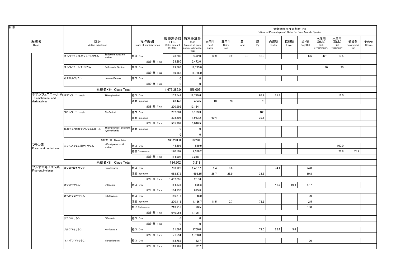|                                          |                        |                                                       |                                 |                                  |                                                                   |                       |                     |            |          |                | 対象動物別推定割合 (%) | Estimated Percentages of Sales for Each Animals Species |                                    |                                   |                           |               |
|------------------------------------------|------------------------|-------------------------------------------------------|---------------------------------|----------------------------------|-------------------------------------------------------------------|-----------------------|---------------------|------------|----------|----------------|---------------|---------------------------------------------------------|------------------------------------|-----------------------------------|---------------------------|---------------|
| 系統名<br>Class                             | 区分<br>Active substance |                                                       | 投与経路<br>Route of administration | (千円)<br>Sales amount<br>(41,000) | 販売高金額 原末換算量<br>(Kg)<br>Amount of pure<br>active substance<br>(Kg) | 肉用牛<br>Beef<br>Cattle | 乳用牛<br>Dairy<br>Cow | 馬<br>Horse | 豚<br>Pig | 肉用鶏<br>Broiler | 採卵鶏<br>Layer  | 犬・猫<br>Dog/Cat                                          | 水産用<br>(淡水)<br>Fish<br>Freshwater) | 水産用<br>(海水)<br>Fish<br>(Seawater) | 観賞魚<br>Ornamental<br>Fish | その他<br>Others |
|                                          | スルファモノメトキシンナトリウム       | Sulfarnomethoxine<br>sodium                           | 経口 Oral                         | 23,280                           | 2472.0                                                            | 10.9                  | 10.9                | 0.9        | 18.0     |                |               | 6.6                                                     | 42.1                               | 10.5                              |                           |               |
|                                          |                        |                                                       | 成分·計 Total                      | 23.280                           | 2.472.0                                                           |                       |                     |            |          |                |               |                                                         |                                    |                                   |                           |               |
|                                          | スルフィゾールナトリウム           | Sulfisozole Sodium                                    | 経口 Oral                         | 89,566                           | 11,785.0                                                          |                       |                     |            |          |                |               |                                                         | 80                                 | 20                                |                           |               |
|                                          |                        |                                                       | 成分·計 Total                      | 89,566                           | 11,785.0                                                          |                       |                     |            |          |                |               |                                                         |                                    |                                   |                           |               |
|                                          | ホモスルファミン               | Homosulfamine                                         | 経口 Oral                         | $\mathbf 0$                      | $\mathbf 0$                                                       |                       |                     |            |          |                |               |                                                         |                                    |                                   |                           |               |
|                                          |                        |                                                       | 成分·計 Tota                       | 0                                | 0                                                                 |                       |                     |            |          |                |               |                                                         |                                    |                                   |                           |               |
|                                          |                        | 系統名·計 Class Total                                     |                                 | 1,676,389.0                      | 156,006                                                           |                       |                     |            |          |                |               |                                                         |                                    |                                   |                           |               |
| チアンフェニコール系チアンフェニコール<br>Thiamphenicol and |                        | Thiamphenicol                                         | 経口 Oral                         | 157,549                          | 12,729.6                                                          |                       |                     |            | 68.2     | 15.8           |               |                                                         |                                    | 16.0                              |                           |               |
| derivateives                             |                        |                                                       | 注射 Injection                    | 43,443                           | 454.5                                                             | 10                    | 20                  |            | 70       |                |               |                                                         |                                    |                                   |                           |               |
|                                          |                        |                                                       | 成分·計 Total                      | 200,992                          | 13,184.1                                                          |                       |                     |            |          |                |               |                                                         |                                    |                                   |                           |               |
|                                          | フロルフェニコール              | Florfenicol                                           | 経口 Oral                         | 232,001                          | 3,133.3                                                           |                       |                     |            | 100      |                |               |                                                         |                                    |                                   |                           |               |
|                                          |                        |                                                       | 注射 Injection                    | 303,208                          | 1,913.2                                                           | 60.4                  |                     |            | 39.6     |                |               |                                                         |                                    |                                   |                           |               |
|                                          |                        |                                                       | 成分·計 Total                      | 535,209                          | 5,046.5                                                           |                       |                     |            |          |                |               |                                                         |                                    |                                   |                           |               |
|                                          | 塩酸アミノ酢酸チアンフェニコール       | Thiamphenicol glycinate 注射 Injection<br>hydrochloride |                                 | $\overline{\mathbf{0}}$          | 0                                                                 |                       |                     |            |          |                |               |                                                         |                                    |                                   |                           |               |
|                                          |                        |                                                       |                                 | 0                                | 0                                                                 |                       |                     |            |          |                |               |                                                         |                                    |                                   |                           |               |
|                                          |                        | 系統名·計 Class Total                                     |                                 | 736,201.0                        | 18,231                                                            |                       |                     |            |          |                |               |                                                         |                                    |                                   |                           |               |
| フラン系<br>Furan and derivatives            | ニフルスチレン酸ナトリウム          | Nifurstyrenic acid<br>sodium                          | 経口 Oral                         | 44,395                           | 829.9                                                             |                       |                     |            |          |                |               |                                                         |                                    | 100.0                             |                           |               |
|                                          |                        |                                                       | 経皮 Cutaneous                    | 140,507                          | 2,388.2                                                           |                       |                     |            |          |                |               |                                                         |                                    | 76.8                              | 23.2                      |               |
|                                          |                        |                                                       | 成分·計 Total                      | 184,902                          | 3,218.1                                                           |                       |                     |            |          |                |               |                                                         |                                    |                                   |                           |               |
|                                          |                        | 系統名·計 Class Total                                     |                                 | 184,902                          | 3,218                                                             |                       |                     |            |          |                |               |                                                         |                                    |                                   |                           |               |
| フルオロキノロン系<br>Fluoroquinolones            | エンロフロキサシン              | Enrofloxacin                                          | 経口 Oral                         | 783,723                          | 1,437.7                                                           | 1.4                   | 0.6                 |            |          | 74.1           |               | 24.0                                                    |                                    |                                   |                           |               |
|                                          |                        |                                                       | 注射 Injection                    | 668,372                          | 698.15                                                            | 26.7                  | 28.9                |            | 33.5     |                |               | 10.8                                                    |                                    |                                   |                           |               |
|                                          |                        |                                                       | 成分·計 Total                      | 1,452,095                        | 2,136                                                             |                       |                     |            |          |                |               |                                                         |                                    |                                   |                           |               |
|                                          | オフロキサシン                | Ofloxacin                                             | 経口 Oral                         | 164,135                          | 895.8                                                             |                       |                     |            |          | 41.9           | 10.4          | 47.7                                                    |                                    |                                   |                           |               |
|                                          |                        |                                                       | 成分·計 Total                      | 164,135                          | 895.8                                                             |                       |                     |            |          |                |               |                                                         |                                    |                                   |                           |               |
|                                          | オルビフロキサシン              | Orbifloxacin                                          | 経口 Oral                         | 156,215                          | 48.0                                                              |                       |                     |            |          |                |               | 100                                                     |                                    |                                   |                           |               |
|                                          |                        |                                                       | 注射 Injection                    | 270,118                          | 1,126.7                                                           | 11.5                  | 7.7                 |            | 78.3     |                |               | 2.5                                                     |                                    |                                   |                           |               |
|                                          |                        |                                                       | 経皮 Cutaneous                    | 213,718                          | 20.5                                                              |                       |                     |            |          |                |               | 100                                                     |                                    |                                   |                           |               |
|                                          |                        |                                                       | 成分·計 Total                      | 640,051                          | 1,195.1                                                           |                       |                     |            |          |                |               |                                                         |                                    |                                   |                           |               |
|                                          | ジフロキサシン                | Difloxacin                                            | 経口 Oral                         | $\mathbf 0$                      | 0                                                                 |                       |                     |            |          |                |               |                                                         |                                    |                                   |                           |               |
|                                          |                        |                                                       | 成分·計 Total                      | 0                                | 0                                                                 |                       |                     |            |          |                |               |                                                         |                                    |                                   |                           |               |
|                                          | ノルフロキサシン               | Norfloxacin                                           | 経口 Oral                         | 71,594                           | 1760.0                                                            |                       |                     |            | 72.0     | 22.4           | 5.6           |                                                         |                                    |                                   |                           |               |
|                                          |                        |                                                       | 成分·計 Total                      | 71,594                           | 1,760.0                                                           |                       |                     |            |          |                |               |                                                         |                                    |                                   |                           |               |
|                                          | マルボフロキサシン              | Marbofloxacin                                         | 経口 Oral                         | 113,782                          | 82.7                                                              |                       |                     |            |          |                |               | 100                                                     |                                    |                                   |                           |               |
|                                          |                        |                                                       | 成分·計 Total                      | 113,782                          | 82.7                                                              |                       |                     |            |          |                |               |                                                         |                                    |                                   |                           |               |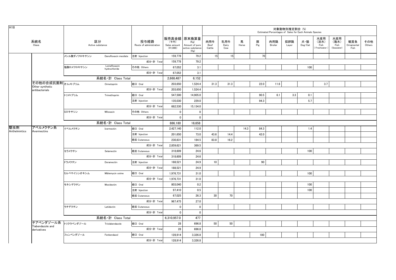| H18           |                                     |              |                               |                                 |                                    |                                                                   |                       |                     |            |          |                | 対象動物別推定割合 (%) | Estimated Percentages of Sales for Each Animals Species |                                    |                                   |                           |               |
|---------------|-------------------------------------|--------------|-------------------------------|---------------------------------|------------------------------------|-------------------------------------------------------------------|-----------------------|---------------------|------------|----------|----------------|---------------|---------------------------------------------------------|------------------------------------|-----------------------------------|---------------------------|---------------|
|               | 系統名<br>Class                        |              | 区分<br>Active substance        | 投与経路<br>Route of administration | (千円)<br>Sales amount<br>$(*1,000)$ | 販売高金額 原末換算量<br>(Kg)<br>Amount of pure<br>active substance<br>(Kg) | 肉用牛<br>Beef<br>Cattle | 乳用牛<br>Dairy<br>Cow | 馬<br>Horse | 豚<br>Pig | 肉用鶏<br>Broiler | 採卵鶏<br>Layer  | 犬・猫<br>$\mathsf{Dog}/\mathsf{Cat}$                      | 水産用<br>(淡水)<br>Fish<br>Freshwater) | 水産用<br>(海水)<br>Fish<br>(Seawater) | 観賞魚<br>Ornamental<br>Fish | その他<br>Others |
|               |                                     | メシル酸ダノフロキサシン | Danofloxacin mesilate         | 注射 Injection                    | 159,778                            | 79.2                                                              | 15                    | 15                  |            | 70       |                |               |                                                         |                                    |                                   |                           |               |
|               |                                     |              |                               | 成分·計 Total                      | 159,778                            | 79.2                                                              |                       |                     |            |          |                |               |                                                         |                                    |                                   |                           |               |
|               |                                     | 塩酸ロメフロキサシン   | Lomefloxacin<br>hydrochloride | その他 Others                      | 67,052                             | 3.1                                                               |                       |                     |            |          |                |               | 100                                                     |                                    |                                   |                           |               |
|               |                                     |              |                               | 成分·計 Total                      | 67,052                             | 3.1                                                               |                       |                     |            |          |                |               |                                                         |                                    |                                   |                           |               |
|               |                                     |              | 系統名·計 Class Total             |                                 | 2,668,487                          | 6,152                                                             |                       |                     |            |          |                |               |                                                         |                                    |                                   |                           |               |
|               | その他の合成抗菌剤オルメトプリム<br>Other synthetic |              | Ormetoprim                    | 経口 Oral                         | 203,650                            | 1,524.4                                                           | 31.3                  | 31.3                |            | 22.0     | 11.6           |               |                                                         | 3.7                                |                                   |                           |               |
|               | antibacterials                      |              |                               | 成分·計 Total                      | 203,650                            | 1,524.4                                                           |                       |                     |            |          |                |               |                                                         |                                    |                                   |                           |               |
|               |                                     | トリメトプリム      | Trimethoprim                  | 経口 Oral                         | 547,500                            | 14,905.0                                                          |                       |                     |            | 90.5     | 6.1            | 3.3           | 0.1                                                     |                                    |                                   |                           |               |
|               |                                     |              |                               | 注射 Injection                    | 135,030                            | 229.0                                                             |                       |                     |            | 94.3     |                |               | 5.7                                                     |                                    |                                   |                           |               |
|               |                                     |              |                               | 成分·計 Total                      | 682,530                            | 15,134.0                                                          |                       |                     |            |          |                |               |                                                         |                                    |                                   |                           |               |
|               |                                     | ミロキサシン       | Miloxacin                     | その他 Others                      | $\mathbf{0}$                       | $^{\circ}$                                                        |                       |                     |            |          |                |               |                                                         |                                    |                                   |                           |               |
|               |                                     |              |                               | 成分·計 Total                      | $\mathbf 0$                        | $\mathbf 0$                                                       |                       |                     |            |          |                |               |                                                         |                                    |                                   |                           |               |
|               |                                     |              | 系統名·計 Class Total             |                                 | 886,180                            | 16,658                                                            |                       |                     |            |          |                |               |                                                         |                                    |                                   |                           |               |
| 駆虫剤           | アベルメクチン系<br>Avermectins             | イベルメクチン      | Ivermectin                    | 経口 Oral                         | 2,427,140                          | 112.0                                                             |                       |                     | 14.3       | 84.3     |                |               | 1.4                                                     |                                    |                                   |                           |               |
| Anthelmintics |                                     |              |                               | 注射 Injection                    | 201,650                            | 73.0                                                              | 43.6                  | 14.4                |            | 42.0     |                |               |                                                         |                                    |                                   |                           |               |
|               |                                     |              |                               | 経皮 Cutaneous                    | 230,831                            | 184.5                                                             | 83.8                  | 16.2                |            |          |                |               |                                                         |                                    |                                   |                           |               |
|               |                                     |              |                               | 成分·計 Total                      | 2,859,621                          | 369.5                                                             |                       |                     |            |          |                |               |                                                         |                                    |                                   |                           |               |
|               |                                     | セラメクチン       | Selamectin                    | 経皮 Cutaneous                    | 318,609                            | 24.6                                                              |                       |                     |            |          |                |               | 100                                                     |                                    |                                   |                           |               |
|               |                                     |              |                               | 成分·計 Total                      | 318,609                            | 24.6                                                              |                       |                     |            |          |                |               |                                                         |                                    |                                   |                           |               |
|               |                                     | ドラメクチン       | Doramectin                    | 注射 Injection                    | 188,521                            | 24.9                                                              | 10                    |                     |            | 90       |                |               |                                                         |                                    |                                   |                           |               |
|               |                                     |              |                               | 成分·計 Total                      | 188,521                            | 24.9                                                              |                       |                     |            |          |                |               |                                                         |                                    |                                   |                           |               |
|               |                                     | ミルベマイシンオキシム  | Miblemycin oxime              | 経口 Oral                         | 1,976,731                          | 31.0                                                              |                       |                     |            |          |                |               | 100                                                     |                                    |                                   |                           |               |
|               |                                     |              |                               | 成分·計 Total                      | 1,976,731                          | 31.0                                                              |                       |                     |            |          |                |               |                                                         |                                    |                                   |                           |               |
|               |                                     | モキシデクチン      | Moxidectin                    | 経口 Oral                         | 803,040                            | 0.2                                                               |                       |                     |            |          |                |               | 100                                                     |                                    |                                   |                           |               |
|               |                                     |              |                               | 注射 Injection                    | 97,410                             | 0.5                                                               |                       |                     |            |          |                |               | 100                                                     |                                    |                                   |                           |               |
|               |                                     |              |                               | 経皮 Cutaneous                    | 67,025                             | 26.3                                                              | 30                    | 70                  |            |          |                |               |                                                         |                                    |                                   |                           |               |
|               |                                     |              |                               | 成分·計 Total                      | 967,475                            | 27.0                                                              |                       |                     |            |          |                |               |                                                         |                                    |                                   |                           |               |
|               |                                     | ラチデクチン       | Latidectin                    | 経皮 Cutaneous                    | $\mathbf{0}$                       | $\mathbf{0}$                                                      |                       |                     |            |          |                |               |                                                         |                                    |                                   |                           |               |
|               |                                     |              |                               | 成分·計 Total                      | $\mathbf 0$                        | $\mathbf 0$                                                       |                       |                     |            |          |                |               |                                                         |                                    |                                   |                           |               |
|               |                                     |              | 系統名·計 Class Total             |                                 | 6,310,957.0                        | 477                                                               |                       |                     |            |          |                |               |                                                         |                                    |                                   |                           |               |
|               | チアベンダゾール系<br>Tiabendazole and       | トリクラベンダゾール   | Triclabendazole               | 経口 Oral                         | 28                                 | 696.8                                                             | 50                    | 50                  |            |          |                |               |                                                         |                                    |                                   |                           |               |
|               | derivatives                         |              |                               | 成分·計 Total                      | 28                                 | 696.8                                                             |                       |                     |            |          |                |               |                                                         |                                    |                                   |                           |               |
|               |                                     | フェンベンダゾール    | Fenbendazol                   | 経口 Oral                         | 128,914                            | 3,326.8                                                           |                       |                     |            | 100      |                |               |                                                         |                                    |                                   |                           |               |
|               |                                     |              |                               | 成分·計 Total                      | 128,914                            | 3,326.8                                                           |                       |                     |            |          |                |               |                                                         |                                    |                                   |                           |               |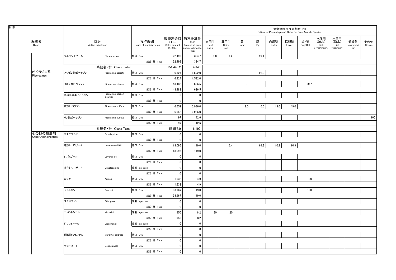| 販売高金額 原末換算量<br>水産用<br>水産用<br>区分<br>系統名<br>投与経路<br>肉用牛<br>乳用牛<br>馬<br>豚<br>肉用鶏<br>採卵鶏<br>犬・猫<br>(淡水)<br>(海水)<br>観賞魚<br>その他<br>(千円)<br>(Kg)<br>Pig<br>Class<br>Active substance<br>Beef<br>Dairy<br>Others<br>Route of administration<br>Sales amount<br>Amount of pure<br>Broiler<br>$\mathsf{Dog}/\mathsf{Cat}$<br>Fish<br>Fish<br>Ornamental<br>Horse<br>Layer<br>$(*1,000)$<br>Freshwater)<br>(Seawater)<br>active substance<br>Cattle<br>Fish<br>Cow<br>(Kg)<br>フルベンダゾール<br>経口 Oral<br>1.2<br>97.1<br>Flubendazole<br>22,498<br>324.7<br>1.8<br>成分·計 Total<br>324.7<br>22,498<br>系統名·計 Class Total<br>4,348<br>151,440.2<br>ピペラジン系<br>アジピン酸ピペラジン<br>経口 Oral<br>1,592.0<br>98.9<br>Piperazine adipate<br>6,324<br>1.1<br>Piperazines<br>成分·計 Total<br>1,592.0<br>6,324<br>経口 Oral<br>626.5<br>0.3<br>99.7<br>クエン酸ピペラジン<br>43,482<br>Piperazine citrate<br>成分·計 Total<br>43,482<br>626.5<br>Piperazine carbon<br>二硫化炭素ピペラジン<br>経口 Oral<br>$\mathbf 0$<br>$\mathbf 0$<br>disulfide<br>成分·計 Total<br>$\mathbf 0$<br>$\mathbf 0$<br>6,652<br>6.0<br>49.0<br>硫酸ピペラジン<br>経口 Oral<br>3,936.0<br>2.0<br>43.0<br>Piperazine sulfate<br>成分·計 Total<br>6,652<br>3,936.0<br>97<br>42.6<br>リン酸ピペラジン<br>経口 Oral<br>Piperazine sulfate<br>97<br>42.6<br>成分·計 Total<br>系統名·計 Class Total<br>56,555.0<br>6,197<br>その他の駆虫剤<br>$\mathbf{0}$<br>エモデプシド<br>Emodepside<br>経口 Oral<br>$\mathbf{0}$<br><b>Other Anthelmintics</b><br>成分·計 Total<br>$\mathbf 0$<br>$\mathbf{0}$<br>16.4<br>10.9<br>10.9<br>塩酸レバミゾール<br>経口 Oral<br>13,095<br>61.8<br>Levamisole HCI<br>119.0<br>成分·計 Total<br>13,095<br>119.0<br>レバミゾール<br>経口 Oral<br>$\mathbf 0$<br>$\mathbf 0$<br>Levamisole<br>$\mathbf 0$<br>$\mathbf 0$<br>成分·計 Total<br>オキシクロザニド<br>$\mathbf 0$<br>$\mathbf 0$<br>Oxyclozanide<br>注射 Injection<br>成分·計 Total<br>$\mathbf 0$<br>$\mathbf 0$<br>経口 Oral<br>1,632<br>4.9<br>100<br>カマラ<br>Kamala<br>成分·計 Total<br>1,632<br>4.9<br>100<br>33,967<br>19.0<br>経口 Oral<br>サントニン<br>Santonin<br>成分·計 Total<br>33,967<br>19.0<br>スチボフェン<br>注射 Injection<br>$\mathbf 0$<br>$\mathbf 0$<br>Stibophen<br>成分·計 Total<br>$\pmb{0}$<br>$\mathbf 0$<br>8.2<br>20<br>注射 Injection<br>950<br>80<br>ニトロキシニル<br>Nitroxinil<br>8.2<br>成分·計 Total<br>950<br>$\mathbf 0$<br>$\mathbf 0$<br>ジソフェノール<br>注射 Injection<br>Disophenol<br>成分·計 Total<br>$\pmb{0}$<br>$\pmb{0}$<br>経口 Oral<br>$\mathbf 0$<br>$\mathbf 0$<br>酒石酸モランテル<br>Morantel tartrate<br>成分·計 Total<br>$\mathbf 0$<br>$\mathbf 0$<br>デコキネート<br>経口 Oral<br>$\mathbf 0$<br>$\mathbf 0$<br>Decoquinate | H18 |  |  |  |  |  | 対象動物別推定割合 (%)<br>Estimated Percentages of Sales for Each Animals Species |  |  |     |
|-------------------------------------------------------------------------------------------------------------------------------------------------------------------------------------------------------------------------------------------------------------------------------------------------------------------------------------------------------------------------------------------------------------------------------------------------------------------------------------------------------------------------------------------------------------------------------------------------------------------------------------------------------------------------------------------------------------------------------------------------------------------------------------------------------------------------------------------------------------------------------------------------------------------------------------------------------------------------------------------------------------------------------------------------------------------------------------------------------------------------------------------------------------------------------------------------------------------------------------------------------------------------------------------------------------------------------------------------------------------------------------------------------------------------------------------------------------------------------------------------------------------------------------------------------------------------------------------------------------------------------------------------------------------------------------------------------------------------------------------------------------------------------------------------------------------------------------------------------------------------------------------------------------------------------------------------------------------------------------------------------------------------------------------------------------------------------------------------------------------------------------------------------------------------------------------------------------------------------------------------------------------------------------------------------------------------------------------------------------------------------------------------------------------------------------------------------------------------------------------------------------------------|-----|--|--|--|--|--|--------------------------------------------------------------------------|--|--|-----|
|                                                                                                                                                                                                                                                                                                                                                                                                                                                                                                                                                                                                                                                                                                                                                                                                                                                                                                                                                                                                                                                                                                                                                                                                                                                                                                                                                                                                                                                                                                                                                                                                                                                                                                                                                                                                                                                                                                                                                                                                                                                                                                                                                                                                                                                                                                                                                                                                                                                                                                                         |     |  |  |  |  |  |                                                                          |  |  |     |
|                                                                                                                                                                                                                                                                                                                                                                                                                                                                                                                                                                                                                                                                                                                                                                                                                                                                                                                                                                                                                                                                                                                                                                                                                                                                                                                                                                                                                                                                                                                                                                                                                                                                                                                                                                                                                                                                                                                                                                                                                                                                                                                                                                                                                                                                                                                                                                                                                                                                                                                         |     |  |  |  |  |  |                                                                          |  |  |     |
|                                                                                                                                                                                                                                                                                                                                                                                                                                                                                                                                                                                                                                                                                                                                                                                                                                                                                                                                                                                                                                                                                                                                                                                                                                                                                                                                                                                                                                                                                                                                                                                                                                                                                                                                                                                                                                                                                                                                                                                                                                                                                                                                                                                                                                                                                                                                                                                                                                                                                                                         |     |  |  |  |  |  |                                                                          |  |  |     |
|                                                                                                                                                                                                                                                                                                                                                                                                                                                                                                                                                                                                                                                                                                                                                                                                                                                                                                                                                                                                                                                                                                                                                                                                                                                                                                                                                                                                                                                                                                                                                                                                                                                                                                                                                                                                                                                                                                                                                                                                                                                                                                                                                                                                                                                                                                                                                                                                                                                                                                                         |     |  |  |  |  |  |                                                                          |  |  |     |
|                                                                                                                                                                                                                                                                                                                                                                                                                                                                                                                                                                                                                                                                                                                                                                                                                                                                                                                                                                                                                                                                                                                                                                                                                                                                                                                                                                                                                                                                                                                                                                                                                                                                                                                                                                                                                                                                                                                                                                                                                                                                                                                                                                                                                                                                                                                                                                                                                                                                                                                         |     |  |  |  |  |  |                                                                          |  |  |     |
|                                                                                                                                                                                                                                                                                                                                                                                                                                                                                                                                                                                                                                                                                                                                                                                                                                                                                                                                                                                                                                                                                                                                                                                                                                                                                                                                                                                                                                                                                                                                                                                                                                                                                                                                                                                                                                                                                                                                                                                                                                                                                                                                                                                                                                                                                                                                                                                                                                                                                                                         |     |  |  |  |  |  |                                                                          |  |  |     |
|                                                                                                                                                                                                                                                                                                                                                                                                                                                                                                                                                                                                                                                                                                                                                                                                                                                                                                                                                                                                                                                                                                                                                                                                                                                                                                                                                                                                                                                                                                                                                                                                                                                                                                                                                                                                                                                                                                                                                                                                                                                                                                                                                                                                                                                                                                                                                                                                                                                                                                                         |     |  |  |  |  |  |                                                                          |  |  |     |
|                                                                                                                                                                                                                                                                                                                                                                                                                                                                                                                                                                                                                                                                                                                                                                                                                                                                                                                                                                                                                                                                                                                                                                                                                                                                                                                                                                                                                                                                                                                                                                                                                                                                                                                                                                                                                                                                                                                                                                                                                                                                                                                                                                                                                                                                                                                                                                                                                                                                                                                         |     |  |  |  |  |  |                                                                          |  |  |     |
|                                                                                                                                                                                                                                                                                                                                                                                                                                                                                                                                                                                                                                                                                                                                                                                                                                                                                                                                                                                                                                                                                                                                                                                                                                                                                                                                                                                                                                                                                                                                                                                                                                                                                                                                                                                                                                                                                                                                                                                                                                                                                                                                                                                                                                                                                                                                                                                                                                                                                                                         |     |  |  |  |  |  |                                                                          |  |  |     |
|                                                                                                                                                                                                                                                                                                                                                                                                                                                                                                                                                                                                                                                                                                                                                                                                                                                                                                                                                                                                                                                                                                                                                                                                                                                                                                                                                                                                                                                                                                                                                                                                                                                                                                                                                                                                                                                                                                                                                                                                                                                                                                                                                                                                                                                                                                                                                                                                                                                                                                                         |     |  |  |  |  |  |                                                                          |  |  |     |
|                                                                                                                                                                                                                                                                                                                                                                                                                                                                                                                                                                                                                                                                                                                                                                                                                                                                                                                                                                                                                                                                                                                                                                                                                                                                                                                                                                                                                                                                                                                                                                                                                                                                                                                                                                                                                                                                                                                                                                                                                                                                                                                                                                                                                                                                                                                                                                                                                                                                                                                         |     |  |  |  |  |  |                                                                          |  |  |     |
|                                                                                                                                                                                                                                                                                                                                                                                                                                                                                                                                                                                                                                                                                                                                                                                                                                                                                                                                                                                                                                                                                                                                                                                                                                                                                                                                                                                                                                                                                                                                                                                                                                                                                                                                                                                                                                                                                                                                                                                                                                                                                                                                                                                                                                                                                                                                                                                                                                                                                                                         |     |  |  |  |  |  |                                                                          |  |  |     |
|                                                                                                                                                                                                                                                                                                                                                                                                                                                                                                                                                                                                                                                                                                                                                                                                                                                                                                                                                                                                                                                                                                                                                                                                                                                                                                                                                                                                                                                                                                                                                                                                                                                                                                                                                                                                                                                                                                                                                                                                                                                                                                                                                                                                                                                                                                                                                                                                                                                                                                                         |     |  |  |  |  |  |                                                                          |  |  | 100 |
|                                                                                                                                                                                                                                                                                                                                                                                                                                                                                                                                                                                                                                                                                                                                                                                                                                                                                                                                                                                                                                                                                                                                                                                                                                                                                                                                                                                                                                                                                                                                                                                                                                                                                                                                                                                                                                                                                                                                                                                                                                                                                                                                                                                                                                                                                                                                                                                                                                                                                                                         |     |  |  |  |  |  |                                                                          |  |  |     |
|                                                                                                                                                                                                                                                                                                                                                                                                                                                                                                                                                                                                                                                                                                                                                                                                                                                                                                                                                                                                                                                                                                                                                                                                                                                                                                                                                                                                                                                                                                                                                                                                                                                                                                                                                                                                                                                                                                                                                                                                                                                                                                                                                                                                                                                                                                                                                                                                                                                                                                                         |     |  |  |  |  |  |                                                                          |  |  |     |
|                                                                                                                                                                                                                                                                                                                                                                                                                                                                                                                                                                                                                                                                                                                                                                                                                                                                                                                                                                                                                                                                                                                                                                                                                                                                                                                                                                                                                                                                                                                                                                                                                                                                                                                                                                                                                                                                                                                                                                                                                                                                                                                                                                                                                                                                                                                                                                                                                                                                                                                         |     |  |  |  |  |  |                                                                          |  |  |     |
|                                                                                                                                                                                                                                                                                                                                                                                                                                                                                                                                                                                                                                                                                                                                                                                                                                                                                                                                                                                                                                                                                                                                                                                                                                                                                                                                                                                                                                                                                                                                                                                                                                                                                                                                                                                                                                                                                                                                                                                                                                                                                                                                                                                                                                                                                                                                                                                                                                                                                                                         |     |  |  |  |  |  |                                                                          |  |  |     |
|                                                                                                                                                                                                                                                                                                                                                                                                                                                                                                                                                                                                                                                                                                                                                                                                                                                                                                                                                                                                                                                                                                                                                                                                                                                                                                                                                                                                                                                                                                                                                                                                                                                                                                                                                                                                                                                                                                                                                                                                                                                                                                                                                                                                                                                                                                                                                                                                                                                                                                                         |     |  |  |  |  |  |                                                                          |  |  |     |
|                                                                                                                                                                                                                                                                                                                                                                                                                                                                                                                                                                                                                                                                                                                                                                                                                                                                                                                                                                                                                                                                                                                                                                                                                                                                                                                                                                                                                                                                                                                                                                                                                                                                                                                                                                                                                                                                                                                                                                                                                                                                                                                                                                                                                                                                                                                                                                                                                                                                                                                         |     |  |  |  |  |  |                                                                          |  |  |     |
|                                                                                                                                                                                                                                                                                                                                                                                                                                                                                                                                                                                                                                                                                                                                                                                                                                                                                                                                                                                                                                                                                                                                                                                                                                                                                                                                                                                                                                                                                                                                                                                                                                                                                                                                                                                                                                                                                                                                                                                                                                                                                                                                                                                                                                                                                                                                                                                                                                                                                                                         |     |  |  |  |  |  |                                                                          |  |  |     |
|                                                                                                                                                                                                                                                                                                                                                                                                                                                                                                                                                                                                                                                                                                                                                                                                                                                                                                                                                                                                                                                                                                                                                                                                                                                                                                                                                                                                                                                                                                                                                                                                                                                                                                                                                                                                                                                                                                                                                                                                                                                                                                                                                                                                                                                                                                                                                                                                                                                                                                                         |     |  |  |  |  |  |                                                                          |  |  |     |
|                                                                                                                                                                                                                                                                                                                                                                                                                                                                                                                                                                                                                                                                                                                                                                                                                                                                                                                                                                                                                                                                                                                                                                                                                                                                                                                                                                                                                                                                                                                                                                                                                                                                                                                                                                                                                                                                                                                                                                                                                                                                                                                                                                                                                                                                                                                                                                                                                                                                                                                         |     |  |  |  |  |  |                                                                          |  |  |     |
|                                                                                                                                                                                                                                                                                                                                                                                                                                                                                                                                                                                                                                                                                                                                                                                                                                                                                                                                                                                                                                                                                                                                                                                                                                                                                                                                                                                                                                                                                                                                                                                                                                                                                                                                                                                                                                                                                                                                                                                                                                                                                                                                                                                                                                                                                                                                                                                                                                                                                                                         |     |  |  |  |  |  |                                                                          |  |  |     |
|                                                                                                                                                                                                                                                                                                                                                                                                                                                                                                                                                                                                                                                                                                                                                                                                                                                                                                                                                                                                                                                                                                                                                                                                                                                                                                                                                                                                                                                                                                                                                                                                                                                                                                                                                                                                                                                                                                                                                                                                                                                                                                                                                                                                                                                                                                                                                                                                                                                                                                                         |     |  |  |  |  |  |                                                                          |  |  |     |
|                                                                                                                                                                                                                                                                                                                                                                                                                                                                                                                                                                                                                                                                                                                                                                                                                                                                                                                                                                                                                                                                                                                                                                                                                                                                                                                                                                                                                                                                                                                                                                                                                                                                                                                                                                                                                                                                                                                                                                                                                                                                                                                                                                                                                                                                                                                                                                                                                                                                                                                         |     |  |  |  |  |  |                                                                          |  |  |     |
|                                                                                                                                                                                                                                                                                                                                                                                                                                                                                                                                                                                                                                                                                                                                                                                                                                                                                                                                                                                                                                                                                                                                                                                                                                                                                                                                                                                                                                                                                                                                                                                                                                                                                                                                                                                                                                                                                                                                                                                                                                                                                                                                                                                                                                                                                                                                                                                                                                                                                                                         |     |  |  |  |  |  |                                                                          |  |  |     |
|                                                                                                                                                                                                                                                                                                                                                                                                                                                                                                                                                                                                                                                                                                                                                                                                                                                                                                                                                                                                                                                                                                                                                                                                                                                                                                                                                                                                                                                                                                                                                                                                                                                                                                                                                                                                                                                                                                                                                                                                                                                                                                                                                                                                                                                                                                                                                                                                                                                                                                                         |     |  |  |  |  |  |                                                                          |  |  |     |
|                                                                                                                                                                                                                                                                                                                                                                                                                                                                                                                                                                                                                                                                                                                                                                                                                                                                                                                                                                                                                                                                                                                                                                                                                                                                                                                                                                                                                                                                                                                                                                                                                                                                                                                                                                                                                                                                                                                                                                                                                                                                                                                                                                                                                                                                                                                                                                                                                                                                                                                         |     |  |  |  |  |  |                                                                          |  |  |     |
|                                                                                                                                                                                                                                                                                                                                                                                                                                                                                                                                                                                                                                                                                                                                                                                                                                                                                                                                                                                                                                                                                                                                                                                                                                                                                                                                                                                                                                                                                                                                                                                                                                                                                                                                                                                                                                                                                                                                                                                                                                                                                                                                                                                                                                                                                                                                                                                                                                                                                                                         |     |  |  |  |  |  |                                                                          |  |  |     |
|                                                                                                                                                                                                                                                                                                                                                                                                                                                                                                                                                                                                                                                                                                                                                                                                                                                                                                                                                                                                                                                                                                                                                                                                                                                                                                                                                                                                                                                                                                                                                                                                                                                                                                                                                                                                                                                                                                                                                                                                                                                                                                                                                                                                                                                                                                                                                                                                                                                                                                                         |     |  |  |  |  |  |                                                                          |  |  |     |
|                                                                                                                                                                                                                                                                                                                                                                                                                                                                                                                                                                                                                                                                                                                                                                                                                                                                                                                                                                                                                                                                                                                                                                                                                                                                                                                                                                                                                                                                                                                                                                                                                                                                                                                                                                                                                                                                                                                                                                                                                                                                                                                                                                                                                                                                                                                                                                                                                                                                                                                         |     |  |  |  |  |  |                                                                          |  |  |     |
|                                                                                                                                                                                                                                                                                                                                                                                                                                                                                                                                                                                                                                                                                                                                                                                                                                                                                                                                                                                                                                                                                                                                                                                                                                                                                                                                                                                                                                                                                                                                                                                                                                                                                                                                                                                                                                                                                                                                                                                                                                                                                                                                                                                                                                                                                                                                                                                                                                                                                                                         |     |  |  |  |  |  |                                                                          |  |  |     |
|                                                                                                                                                                                                                                                                                                                                                                                                                                                                                                                                                                                                                                                                                                                                                                                                                                                                                                                                                                                                                                                                                                                                                                                                                                                                                                                                                                                                                                                                                                                                                                                                                                                                                                                                                                                                                                                                                                                                                                                                                                                                                                                                                                                                                                                                                                                                                                                                                                                                                                                         |     |  |  |  |  |  |                                                                          |  |  |     |
|                                                                                                                                                                                                                                                                                                                                                                                                                                                                                                                                                                                                                                                                                                                                                                                                                                                                                                                                                                                                                                                                                                                                                                                                                                                                                                                                                                                                                                                                                                                                                                                                                                                                                                                                                                                                                                                                                                                                                                                                                                                                                                                                                                                                                                                                                                                                                                                                                                                                                                                         |     |  |  |  |  |  |                                                                          |  |  |     |
|                                                                                                                                                                                                                                                                                                                                                                                                                                                                                                                                                                                                                                                                                                                                                                                                                                                                                                                                                                                                                                                                                                                                                                                                                                                                                                                                                                                                                                                                                                                                                                                                                                                                                                                                                                                                                                                                                                                                                                                                                                                                                                                                                                                                                                                                                                                                                                                                                                                                                                                         |     |  |  |  |  |  |                                                                          |  |  |     |
|                                                                                                                                                                                                                                                                                                                                                                                                                                                                                                                                                                                                                                                                                                                                                                                                                                                                                                                                                                                                                                                                                                                                                                                                                                                                                                                                                                                                                                                                                                                                                                                                                                                                                                                                                                                                                                                                                                                                                                                                                                                                                                                                                                                                                                                                                                                                                                                                                                                                                                                         |     |  |  |  |  |  |                                                                          |  |  |     |
| 成分·計 Total<br>$\mathbf 0$<br>$\mathbf{0}$                                                                                                                                                                                                                                                                                                                                                                                                                                                                                                                                                                                                                                                                                                                                                                                                                                                                                                                                                                                                                                                                                                                                                                                                                                                                                                                                                                                                                                                                                                                                                                                                                                                                                                                                                                                                                                                                                                                                                                                                                                                                                                                                                                                                                                                                                                                                                                                                                                                                               |     |  |  |  |  |  |                                                                          |  |  |     |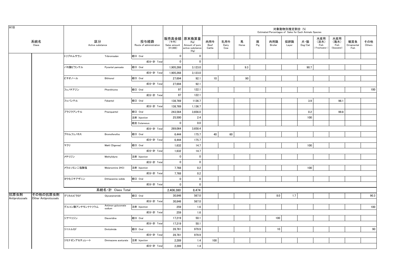| H18            |                      |                        |                      |                                 |                                    |                                                                   |                       |                     |            |          | Estimated Percentages of Sales for Each Animals Species | 対象動物別推定割合 (%) |                                    |                                     |                                   |                           |               |
|----------------|----------------------|------------------------|----------------------|---------------------------------|------------------------------------|-------------------------------------------------------------------|-----------------------|---------------------|------------|----------|---------------------------------------------------------|---------------|------------------------------------|-------------------------------------|-----------------------------------|---------------------------|---------------|
|                | 系統名<br>Class         | 区分<br>Active substance |                      | 投与経路<br>Route of administration | (千円)<br>Sales amount<br>$(*1,000)$ | 販売高金額 原末換算量<br>(Kg)<br>Amount of pure<br>active substance<br>(Kg) | 肉用牛<br>Beef<br>Cattle | 乳用牛<br>Dairy<br>Cow | 馬<br>Horse | 豚<br>Pig | 肉用鶏<br>Broiler                                          | 採卵鶏<br>Layer  | 犬・猫<br>$\mathsf{Dog}/\mathsf{Cat}$ | 水産用<br>(淡水)<br>Fish<br>(Freshwater) | 水産用<br>(海水)<br>Fish<br>(Seawater) | 観賞魚<br>Ornamental<br>Fish | その他<br>Others |
|                |                      | トリブロムサラン               | Tribromsalan         | 経口 Oral                         | $\overline{0}$                     | $\mathbf 0$                                                       |                       |                     |            |          |                                                         |               |                                    |                                     |                                   |                           |               |
|                |                      |                        |                      | 成分·計 Total                      | $\mathbf{0}$                       | $\mathbf 0$                                                       |                       |                     |            |          |                                                         |               |                                    |                                     |                                   |                           |               |
|                |                      | パモ酸ピランテル               | Pyrantel pamoate     | 経口 Oral                         | 1,905,268                          | 3,123.0                                                           |                       |                     | 9.3        |          |                                                         |               | 90.7                               |                                     |                                   |                           |               |
|                |                      |                        |                      | 成分·計 Total                      | 1,905,268                          | 3,123.0                                                           |                       |                     |            |          |                                                         |               |                                    |                                     |                                   |                           |               |
|                |                      | ビチオノール                 | Bithionol            | 経口 Oral                         | 27,694                             | 92.1                                                              | 10                    |                     | 90         |          |                                                         |               |                                    |                                     |                                   |                           |               |
|                |                      |                        |                      | 成分·計 Total                      | 27,694                             | 92.1                                                              |                       |                     |            |          |                                                         |               |                                    |                                     |                                   |                           |               |
|                |                      | フェノチアジン                | Phenithizine         | 経口 Oral                         | 97                                 | 122.1                                                             |                       |                     |            |          |                                                         |               |                                    |                                     |                                   |                           | 100           |
|                |                      |                        |                      | 成分·計 Total                      | 97                                 | 122.1                                                             |                       |                     |            |          |                                                         |               |                                    |                                     |                                   |                           |               |
|                |                      | フェバンテル                 | Febantel             | 経口 Oral                         | 138,769                            | 1136.7                                                            |                       |                     |            |          |                                                         |               | 3.9                                |                                     | 96.1                              |                           |               |
|                |                      |                        |                      | 成分·計 Total                      | 138,769                            | 1,136.7                                                           |                       |                     |            |          |                                                         |               |                                    |                                     |                                   |                           |               |
|                |                      | プラジクアンテル               | Praziquantel         | 経口 Oral                         | 243,564                            | 3,656.0                                                           |                       |                     |            |          |                                                         |               | 0.2                                |                                     | 99.8                              |                           |               |
|                |                      |                        |                      | 注射 Injection                    | 25,500                             | 2.4                                                               |                       |                     |            |          |                                                         |               | 100                                |                                     |                                   |                           |               |
|                |                      |                        |                      | 経皮 Cutaneous                    | $\mathbf{0}$                       | 0.0                                                               |                       |                     |            |          |                                                         |               |                                    |                                     |                                   |                           |               |
|                |                      |                        |                      | 成分·計 Total                      | 269,064                            | 3,658.4                                                           |                       |                     |            |          |                                                         |               |                                    |                                     |                                   |                           |               |
|                |                      | ブロムフェノホス               | Bromofenofos         | 経口 Oral                         | 6,444                              | 175.7                                                             | 40                    | 60                  |            |          |                                                         |               |                                    |                                     |                                   |                           |               |
|                |                      |                        |                      | 成分·計 Total                      | 6,444                              | 175.7                                                             |                       |                     |            |          |                                                         |               |                                    |                                     |                                   |                           |               |
|                |                      | マクリ                    | Makli (Digenea)      | 経口 Oral                         | 1,632                              | 14.7                                                              |                       |                     |            |          |                                                         |               | 100                                |                                     |                                   |                           |               |
|                |                      |                        |                      | 成分·計 Total                      | 1,632                              | 14.7                                                              |                       |                     |            |          |                                                         |               |                                    |                                     |                                   |                           |               |
|                |                      | メチリジン                  | Methylidyne          | 注射 Injection                    | $\mathbf 0$                        | $\mathbf 0$                                                       |                       |                     |            |          |                                                         |               |                                    |                                     |                                   |                           |               |
|                |                      |                        |                      | 成分·計 Total                      | $\mathbf 0$                        | $\mathbf 0$                                                       |                       |                     |            |          |                                                         |               |                                    |                                     |                                   |                           |               |
|                |                      | メラルソミン二塩酸塩             | Melarsomine 2HCl     | 注射 Injection                    | 7,768                              | 0.2                                                               |                       |                     |            |          |                                                         |               | 100                                |                                     |                                   |                           |               |
|                |                      |                        |                      | 成分·計 Total                      | 7,768                              | 0.2                                                               |                       |                     |            |          |                                                         |               |                                    |                                     |                                   |                           |               |
|                |                      | ヨウ化ジチアザニン              | Dithiazanine iodide  | 経口 Oral                         | $\mathbf 0$                        | $\mathbf{0}$                                                      |                       |                     |            |          |                                                         |               |                                    |                                     |                                   |                           |               |
|                |                      |                        |                      | 成分·計 Total                      | $\mathbf 0$                        | $\mathbf 0$                                                       |                       |                     |            |          |                                                         |               |                                    |                                     |                                   |                           |               |
| 抗原虫剤           | その他の抗原虫剤             |                        | 系統名·計 Class Total    |                                 | 2,406,380                          | 8.474                                                             |                       |                     |            |          |                                                         |               |                                    |                                     |                                   |                           |               |
| Antiprotozoals | Other Antiprotozoals | グリカルピラミド               | Glycarpiramide       | 経口 Oral                         | 30,846                             | 567.0                                                             |                       |                     |            |          | 8.0                                                     | 1.7           |                                    |                                     |                                   |                           | 90.3          |
|                |                      |                        | Antimon guluconate   | 成分·計 Total                      | 30,846                             | 567.0                                                             |                       |                     |            |          |                                                         |               |                                    |                                     |                                   |                           |               |
|                |                      | グルコン酸アンチモンナトリウム        | sodium               | 注射 Injection                    | 259                                | 1.6                                                               |                       |                     |            |          |                                                         |               |                                    |                                     |                                   |                           | 100           |
|                |                      |                        |                      | 成分·計 Total                      | 259                                | 1.6                                                               |                       |                     |            |          |                                                         |               |                                    |                                     |                                   |                           |               |
|                |                      | ジアベリジン                 | Diaveridine          | 経口 Oral                         | 17,219                             | 50.1                                                              |                       |                     |            |          | 100                                                     |               |                                    |                                     |                                   |                           |               |
|                |                      |                        |                      | 成分·計 Total                      | 17,219                             | 50.1                                                              |                       |                     |            |          |                                                         |               |                                    |                                     |                                   |                           |               |
|                |                      | ジニトルミド                 | Dinitolmide          | 経口 Oral                         | 28,761                             | 979.9                                                             |                       |                     |            |          | 10                                                      |               |                                    |                                     |                                   |                           | 90            |
|                |                      |                        |                      | 成分·計 Total                      | 28,761                             | 979.9                                                             |                       |                     |            |          |                                                         |               |                                    |                                     |                                   |                           |               |
|                |                      | ジミナゼンアセチュレート           | Diminazene aceturate | 注射 Injection                    | 2,289                              | 1.4                                                               | 100                   |                     |            |          |                                                         |               |                                    |                                     |                                   |                           |               |
|                |                      |                        |                      | 成分·計 Total                      | 2,289                              | 1.4                                                               |                       |                     |            |          |                                                         |               |                                    |                                     |                                   |                           |               |